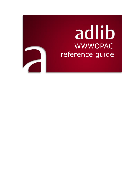# adlib WWWOPAC reference guide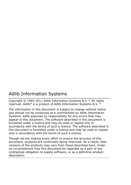# Adlib Information Systems

Copyright © 1992-2011 Adlib Information Systems B.V. ® All rights reserved. Adlib® is a product of Adlib Information Systems B.V. ®

The information in this document is subject to change without notice and should not be construed as a commitment by Adlib Information Systems. Adlib assumes no responsibility for any errors that may appear in this document. The software described in this document is furnished under a licence and may be used or copied only in accordance with the terms of such a licence. The software described in this document is furnished under a licence and may be used or copied only in accordance with the terms of such a licence.

Though we are making every effort to ensure the accuracy of this document, products are continually being improved. As a result, later versions of the products may vary from those described here. Under no circumstances may this document be regarded as a part of any contractual obligation to supply software, or as a definitive product description.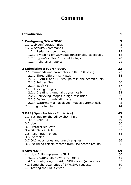# **Contents**

| <b>Introduction</b>                                   | 1              |
|-------------------------------------------------------|----------------|
| <b>1 Configuring WWWOPAC</b>                          | 3              |
| 1.1 Web configuration files                           | 3              |
| 1.2 WWWOPAC commands                                  | $\overline{7}$ |
| 1.2.1 Redundant commands                              | 13             |
| 1.2.2 Switching off wwwopac functionality selectively | 18             |
| 1.2.3 type="richText" in <field> tags</field>         | 20             |
| 1.2.4 Adlib error reports                             | 21             |
| 2 Submitting a search query                           | 23             |
| 2.1 Commands and parameters in the CGI-string         | 23             |
| 2.1.1 Three different syntaxes                        | 35             |
| 2.1.2 SEARCH and FLD/VAL pairs in one search query    | 36             |
| 2.1.3 Pointer files                                   | 36             |
| $2.1.4$ isutf8=1                                      | 37             |
| 2.2 Retrieving images                                 | 38             |
| 2.2.1 Creating thumbnails dynamically                 | 38             |
| 2.2.2 Retrieving images in high resolution            | 40             |
| 2.2.3 Default thumbnail image                         | 42             |
| 2.2.4 Watermark all displayed images automatically    | 42             |
| 2.3 Imagemetadata                                     | 44             |
| <b>3 OAI (Open Archives Initiative)</b>               | 45             |
| 3.1 Settings for the adlibweb.xml file                | 46             |
| 3.1.1 AdlibXML                                        | 49             |
| 3.2 Use                                               | 50             |
| 3.3 Protocol requests                                 | 52             |
| 3.4 OAI Sets in Adlib                                 | 53             |
| 3.5 ResumptionTokens                                  | 54             |
| 3.6 Examples                                          | 55             |
| 3.7 OAI repositories and search engines               | 56             |
| 3.8 Excluding certain records from OAI search results | 58             |
| <b>4 SRW/SRU</b>                                      | 59             |
| 4.1 How Adlib implements SRU                          | 60             |
| 4.1.1 Creating your own SRU Profile                   | 61             |
| 4.1.2 Configuring the Adlib SRU server (wwwopac)      | 62             |
| 4.2 Some characteristics of SRW/SRU requests          | 69             |
| 4.3 Testing the SRU Server                            | 70             |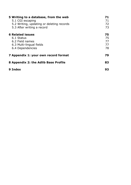| 5 Writing to a database, from the web     | 71  |
|-------------------------------------------|-----|
| 5.1 CGI escaping                          | 71  |
| 5.2 Writing, updating or deleting records | 72. |
| 5.3 After writing a record                | 73  |
| <b>6 Related issues</b>                   | 75. |
| 6.1 Status                                | 75  |
| 6.2 Field names                           | 77  |
| 6.3 Multi-lingual fields                  | 77  |
| 6.4 Dependencies                          | 78  |
| 7 Appendix 1: your own record format      | 79  |
| 8 Appendix 2: the Adlib Base Profile      | 83  |
| 9 Index                                   | 93  |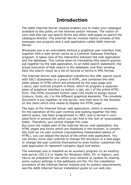# **Introduction**

<span id="page-4-0"></span>The Adlib Internet Server module enables you to make your catalogue available to the public on the internet and/or intranet. The visitor of your web site can use search forms and other web pages to search the catalogue directly. The Internet Server module mainly consists of the wwwopac.exe program and a web application called Adlib Internet Server.

Wwwopac.exe is an executable without a graphical user interface that, together with a web server works as a Common Gateway Interfaceprogram. It takes care of the interaction between the web application and the database. This comes down to translating http search queries put together by the web application, to an Adlib search statement, the actual execution of that search in the database, and then sending back the search result as a list of records or terms in XML format.

The Internet Server web application transforms this XML search result with XSLT stylesheets to a piece of HTML, and combines this with other pieces of HTML which are produced by the aspx page and (.ascx) user controls present in there, which all program a separate piece of graphical interface (a button, a tab, etc.) of the entire HTML form. The HTML document further uses CSS styles to assign layout (colours, fonts, etc.) to the different graphical elements. The complete document is put together on the server, and then sent to the browser on the client which only needs to display the HTML page.

The logic of the Internet Server web application, which is necessary for the operation of the user controls and putting together the http search query, has been programmed in .NET, and is stored in compiled form in several dlls which you can find in the \*bin* of \*executables* folder. Therefore, you cannot change this code.

But since the visible part of the Internet Server web application, the HTML pages and forms which are displayed in the browser, is completely built up via user controls (representing independent pieces of HTML), you *can* adjust the layout of the entire web application. You can simply move user controls to change the structure of a web page, or change the user controls themselves to even further customize the web application to represent company logos and styles.

The wwwopac.exe is installed as an auxiliary program on an existing web server (IIS 5.0 or higher for Windows 2000, XP, or higher), and has to be prepared for use within your network or system by making some custom settings in the *adlibweb.xml* file. For the installation procedure of the Internet Server module and its system requirements, see the *Adlib Internet Server installation guide* on our web site.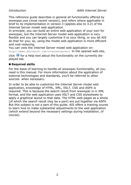This reference guide describes in general all functionality offered by wwwopac.exe (most recent version), and refers where applicable in brief to its implementation in version 3 (applies also to 3.2) of the Internet Server model web application.

In principle, you can build an entire web application of your own for wwwopac, but the Internet Server model web application is very flexibly and you can largely customize it to your liking, or you let AIS do that for you; so, using the model web application is more efficient and cost-reducing.

You can view the Internet Server model web application on: http://demo.adlibsoft.com/internetserver3 In the opened web site, click  $\bullet$  for a Help text about the functionality on the currently displayed tab.

### ■ Required skills

For the basis of learning to handle all wwwopac functionality, all you need is this manual. For more information about the application of external technologies and standards, you'll be referred to other sources when necessary.

In order to be able to customize the Internet Server model web application, knowledge of HTML, XML, XSLT, CSS and ASPX is required. This is because the search result from wwwopac is in XML format, and the web application uses XSLT and CSS stylesheets to apply a graphical layout to that data. The HTML web pages as a whole (of which the search result may be a part) are put together via ASPX. But this subject is not a part of this guide. AIS offers a training course to learn how to make substantial adjustments to the web application (which extend beyond the necessary settings during installation, of course).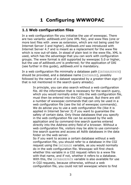# <span id="page-6-0"></span>**1 Configuring WWWOPAC**

## <span id="page-6-1"></span>**1.1 Web configuration files**

In a web configuration file you initialise the use of wwwopac. There are two variants: *adlibweb.xml* (one XML file), and www files (one or more text files with .*www* as extension, which are not being used for Internet Server 3 and higher). *Adlibweb.xml* was introduced with Internet Server 4.7 and is meant as a replacement for the www file which is now out-of-date. In stead of plain text in the www file, XML is used, which has the advantage that you can work with configuration groups. The www format is still supported by wwwopac 5.0 or higher, but the use of *adlibweb.xml* is preferred; for the application of OAI (see further in this guide), *adlibweb.xml* is mandatory.

In a web configuration file minimally a database path (DATABASEPATH) should be provided, and a database name (DATABASE), possibly followed by the name of a dataset separated by a greater-than sign (if that is not mentioned in the search query already).

> In principle, you can also search without a web configuration file. All the information that is necessary for the search query, which you would normally enter into the web configuration file, must then be entered into the CGI request. But there are still a number of wwwopac commands that can only be used in a web configuration file (see the list of wwwopac commands). We do advise you to use a web configuration file (like it is applied in Internet Server 3) if you want to guarantee the safety of certain data. Only those databases that you specify in the web configuration file can be accessed by the web application and by command-line search queries entered directly into the *Address* entry field of a browser. Without a web configuration file, visitors may be able to use commandline search queries and access all Adlib databases in the data folder on the web server.

So if you want to access a certain database without a web configuration file, you should refer to a database in the CGI request using the DATABASE variable, as you would normally do in the web configuration file. Wwwopac will first check whether this variable in a CGI request refers to a www file with that name, and if not, whether it refers to a database. With this, the DATABASEPATH variable is also available for use in CGI requests, because otherwise, without a web configuration file, you could not tell wwwopac where to find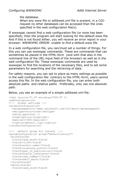the database.

When any www file or *adlibweb.xml* file is present, in a CGIrequest no other databases can be accessed than the ones specified in the web configuration file(s).

If wwwopac cannot find a web configuration file (or none has been specified), then the program will start looking for the *default*.*www* file. And if this is not found either, you will receive an error report in your browser: *WWWOPAC ERROR: unable to find a default.www file.*

In a web configuration file, you can/must set a number of things. For this you can use wwwopac commands. These are commands that can sometimes be placed in the HTML-form (and with that also in the command line of the URL-input field of the browser) as well as in the web configuration file. These wwwopac commands are used by wwwopac to find the locations of the necessary files, and to set some parameters for searching and the retrieving of data.

For safety reasons, you can opt to place as many settings as possible in the web configuration file: contrary to the HTML-form, users cannot access this file. In the web configuration file, you can enter both absolute paths and relative paths . Preferably, only use one absolute path.

Below, you see an example of a simple *adlibweb.xml* file:

```
<?xml version="1.0" encoding="UTF-8" ?> 
<webConfiguration>
<!-- Global settings --> 
<globalConfiguration>
  <databasepath>D:\demo.adlibsoft.com\IS3\data</databasepath> 
  <xmltype>structured</xmltype> 
 <adlib smarthost />
  <highlight>on</highlight>
  <maxlimit>400</maxlimit>
  <logfile>default.log</logfile> 
</globalConfiguration>
<!-- Default group for library --> 
<groupConfiguration group="defaultLibrary">
<brieffields>
  <field>lead_word</field> 
  <field>title</field> 
  <field>author.name</field> 
  <field>corporate_author</field> 
  <field>year_of_publication</field> 
  <field>digital_reference</field> 
  <field>copy.number</field> 
  <field>shelf_mark</field> 
 </brieffields>
 <detailfields>
  <field>lead_word</field>
```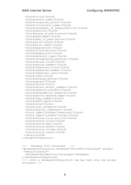<field>title</field> <field>author.name</field> <field>corporate\_author</field> <field>illustrator.name</field> <field>statement\_of\_responsibility</field> <field>edition</field> <field>place\_of\_publication</field> <field>publisher</field> <field>year\_of\_publication</field> <field>print.place</field> <field>print.name</field> <field>pagination</field> <field>illustrations</field> <field>dimensions</field> <field>material\_type</field> <field>accompanying\_material</field> <field>series.title</field> <field>series.number</field> <field>subseries.title</field> <field>subseries.number</field> <field>subseries.issn</field> <field>isbn</field> <field>binding\_method</field> <field>parent</field> <field>child</field> <field>object.object\_number</field> <field>keyword.contents</field> <field>geographical\_keyword</field> <field>person.keyword.name</field> <field>copy.number</field> <field>shelf\_mark</field> <field>site</field> <field>loan\_category</field> <field>digital\_reference</field> <field type="richText">abstract</field> <field type="richText">notes</field> <field>source.title.article</field> <field>source.title</field> <field>source.day</field> <field>source.month</field> <field>source.volume</field> <field>source.issue</field> </detailfields> </groupConfiguration> <!-- Database Full Catalogue --> <databaseConfiguration database="ChoiceFullCatalogue" groups=

```
"defaultLibrary">
  <database>document>fullcatalogue</database> 
</databaseConfiguration>
<!-- note: a databaseConfiguration tag may have only one groups 
attribute -->
```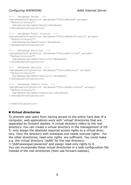#### *Configuring WWWOPAC Adlib Internet Server*

```
<!-- Database Books --> 
<databaseConfiguration database="ChoiceBooks" groups=
"defaultLibrary">
  <database>document>book</database> 
</databaseConfiguration>
<!-- Database Audio Visuals --> 
<databaseConfiguration database="ChoiceAudioVisuals" groups=
"defaultLibrary">
  <database>document>avm</database> 
</databaseConfiguration>
<!-- Database Articles --> 
<databaseConfiguration database="ChoiceArticles" groups=
"defaultLibrary">
  <database>document>article</database> 
</databaseConfiguration>
<!-- Database Serials --> 
<databaseConfiguration database="ChoiceSerials" groups=
"defaultLibrary">
  <database>document>serials</database> 
</databaseConfiguration>
<!-- Database Dublin Core --> 
<databaseConfiguration database="ChoiceDublinCore" groups=
"defaultLibrary">
  <database>document>resource</database> 
</databaseConfiguration>
```
</webConfiguration>

#### ◼ **Virtual directories**

To prevent web users from having access to the entire hard disk of a computer, web applications work with 'virtual' directories that are separated by forward slashes. A virtual directory refers to the real directory. You can create a virtual directory in the management of IIS 5; only assign the absolute required access rights to a virtual directory. Only the directory with *wwwopac.exe* needs execute rights . For the other directories, read-only rights are sufficient. You could make e.g. the virtual directory '*/adlib*' for the real directory: '*c:\bibl\wwwopac\wwwroot*' and assign read-only rights to it. You can incorporate these virtual directories in a web configuration file instead of the real directories (then use forward slashes).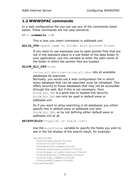#### <span id="page-10-0"></span>**1.2 WWWOPAC commands**

In a web configuration file you can use any of the commands listed below. These commands are not case-sensitive.

#### **<!-- comments -->**

This is how you insert comments in *adlibweb.xml*.

ADLIB PTR=<path name to folder with pointer files>

If you want to use wwwopac.exe to open pointer files that are not in the standard place in a sub folder of the *data* folder in your application, use this variable to enter the path name of the folder in which the pointer files are located.

#### **ALLOW\_ALL\_DBS**=true

<allow\_all\_dbs>true</allow\_all\_dbs> lets all available databases be searched.

Normally, you would use a web configuration file in which every database that can be searched must be initialised. This offers security to those databases that may not be accessible through the web. But if this is not necessary, then ALLOW\_ALL\_DBS is a good way to bypass this security. ALLOW\_ALL\_DBS can only be used in *default.www* or *adlibweb.xml*.

So if you want to allow searching in all databases you either specify this in *default.www* or *adlibweb.xml* with ALLOW\_ALL\_DBS, or by not defining either *default.www* or *adlibweb.xml* at all.

```
BRIEFFIELDS=<taglist or field list>
```
Use the brieffields variable to specify the fields you wish to see in the list display of the search result, for example:

```
<brieffields>
   <field>lead_word</field> 
   <field>title</field> 
   <field>author.name</field> 
   <field>corporate_author</field> 
   <field>year_of_publication</field> 
   <field>digital_reference</field> 
   <field>copy.number</field> 
   <field>shelf_mark</field> 
</brieffields>
```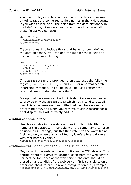You can mix tags and field names. So far as they are known by Adlib, tags are converted to field names in the XML-output. If you wish to include all the fields from the data dictionary in the brief display of records, you do not have to sum up all those fields; you can use:

```
<brieffields>
   <allDataDictionaryFields/>
</brieffields>
```
If you also want to include fields that have not been defined in the data dictionary, you can add the tags for those fields as normal to this variable, e.g.:

```
<brieffields>
  <allDataDictionaryFields/>
   <field>au</field> 
   <field>ti</field> 
</brieffields>
```
If no brieffields are provided, then SCAN uses the following tags:%0, te, uf, us, rt, bt, nt and et. For a normal search (searching without SCAN) all fields will be used (except the tags that are not identified as a field).

For optimal performance of Adlib it is definitely recommended to provide only the brieffields which you intend to actually use. This is because each submitted field will take up some processing time, and when you retrieve multiple records for a brief display, this will certainly add up.

#### **DATABASE**=<FACS-name>

Use this variable in the web configuration file to identify the name of the database. A variable with the same name can also be used in CGI-strings, but this then refers to the www-file at first, and only when that is not found, it refers to a database with that name. Example:

<database>document>fullcatalogue</database>

#### **DATABASEPATH**=<disk station:>\<Adlib-folder>\data

May occur in the web configuration file and in CGI-strings. This setting refers to a *physical* location, seen from the web server. For best performance of the web server, the data should be stored on a local disk of the web server. (It is sensible to only enter one absolute path in a web configuration file.) Example: <databasepath>C:\ourorganisation.com\IS3\data</databasepath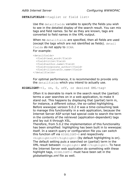#### **DETAILFIELDS**=<taglist or field list>

Use the detailfields variable to specify the fields you wish to see in the detailed display of the search result. You can mix tags and field names. So far as they are known, tags are converted to field names in the XML-output.

When no detailfields are specified, then all fields are used (except the tags which are not identified as fields). detail fields do not apply to SCAN. For example:

```
<detailfields>
   <field>lead_word</field> 
   <field>title</field> 
   <field>author.name</field> 
   <field>corporate_author</field> 
   <field>illustrator.name</field> 
</detailfields>
```
For optimal performance, it is recommended to provide only the detailfields which you intend to actually use.

```
HIGHLIGHT=<1, on, 0, off, or desired XML-tag>
```
Often it is desirable to mark in the search result the (partial) terms a user searches on in a web application, to make it stand out. This happens by displaying that (partial) term in, for instance, a different colour, the so-called highlighting. Before wwwopac version 5.0.2 it was a time-consuming task to manage this functionality in a web application, because the Internet Server ASP script had special code to search the term in the contents of the retrieved (application-dependent) tags and lay out it through XSL.

Therefore, from 5.0.2 the implementation of this functionality has been simplified: highlighting has been built in to wwwopac itself. In a search query or configuration file you can switch this function off via HIGHLIGHT=0 and respectively <highlight>off</highlight> (by default highlighting is on). The default setting puts a searched on (partial) term in the XML result between <highlight> and </highlight>. To have the Internet Server web application do something with these highlight tags, HIGHLIGHT=1 must have been set in the *globalsettings.xml* file as well.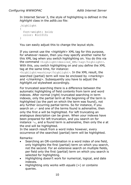In Internet Server 3, the style of highlighting is defined in the *highlight* class in the *adlib.css* file:

```
.highlight
{
   font-weight: bold;
  color: #cc1010;
}
```
You can easily adjust this to change the layout style.

If you cannot use the *<highlight>* XML tag for this purpose, for whatever reason, then you may specify another name for this XML tag when you switch highlighting on. You do this via the command <highlight>desired XML-tag</highlight>. With this, you switch highlighting on and you define the XML tag at the same time, for instance:

<highlight>marking</highlight>. In the XML result, the searched (partial) term will now be enclosed by *<marking>* and *</marking>*. Subsequently you have to adjust the *highlight.xsl* stylesheet accordingly.

For truncated searching there is a difference between the automatic highlighting of field contents from term and word indexes. After normal (right) truncated searching in term indexes, only the partial term at the beginning of the term is highlighted (so the part on which the term was found), not any further occurring partial terms. So for instance, if you search on a\* and one of the terms found is *adrenaline*, then only the first *a* will be highlighted. For left truncating an analogous description can be given. When your indexes have been prepared for left truncation, and you search on for instance \*e, and a found term is *adrenaline*, then only the *e* at the end will be highlighted.

In the search result from a word index however, every occurrence of the searched (partial) term will be highlighted.

Remarks:

- Searching an OR-combination in a word index of one field, only highlights the first (partial) term on which you search, not the second. For an extensive search on multiple fields, per field only the first (partial) term on which you search is selected for highlighting.
- Highlighting doesn't work for numerical, logical, and date indexes.
- Highlighting only works with *equals* (=) or *contains* queries.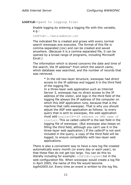```
LOGFILE=<path to logging file>
```
Enable logging by entering a logging file with this variable, e.g.:

LOGFILE=../data/webstat.csv

The indicated file is created and grows with every normal search wwwopac.exe executes. The format of this file is comma-separated (csv) and can be created and saved anywhere. (Because it is a comma separated file, it can be opened by a broad range of programs, including Microsoft Excel.)

The information which is stored concerns the date and time of the search, the IP address\* from which the search came, which database was searched, and the number of records that was retrieved.

> \* In the old two-layer structure, wwwopac had direct access to the IP address and logged it in the third field of the logging file.

> In a three-layer web application such as Internet Server 3, wwwopac has no direct access to the IP address of the visitor, and logs in the third field of the logging file always the IP address of the computer on which this ASP application runs, because that is the machine that calls wwwopac. That is why you should adjust the ASP web application as follows: to every query that is sent to wwwopac, the web application must add &callerIP=<IP address or DNS name of visitor>. This so called *callerIP* is the last field in the logging file of wwwopac. (But wwwopac also keeps on filling the third field, although you can't use it in the three-layer web application.) If the *callerIP* is not sent included in the query, a copy of the third field will be logged, to ensure compatibility with two-layer web applications.

There is also a convenient way to have a new log file created automatically every month (or every day or each year), so that these files do not get too large. You can do this by literally including for example: LOGFILE=log%m%Y.txt in the web configuration file. When wwwopac would create a log file in April 2005, the name of this file would become *log042005.txt*. Every time an event is written to the log file,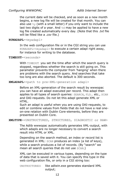the current date will be checked, and as soon as a new month begins, a new log file will be created for that month. You can also use  $\gamma_{\rm v}$  (with a small letter) if you only want to include the last two digits of a year. And  $ad$  may be applied to have a new log file created automatically every day. (Note that this *.txt* file will be filled like a *.csv* file.)

#### **RUNADAPL**=<myadapl>

In the web configuration file or in the CGI string you can use RUNADAPL=<myadapl> to execute a certain adapl right away, for instance for writing to the database.

#### **TIMEOUT**=<seconds>

With TIMEOUT you set the time after which the search query is stopped, regardless whether the search is still going on. This parameter prevents the computer from 'hanging' when there are problems with the search query. And searches that take too long are also aborted. The default is 300 seconds.

**XMLADAPL**=<path to pre-XML-generation adapl>

Before an XML-generation of the search result by wwwopac you can have an adapl executed per record. This adapl then applies to all types of search queries: SEARCH, FLD… etc., SCAN and OAI-requests. Do not let this adapl generate XML or HTML.

Such an adapl is useful when you are using OAI-requests, to edit or combine values from fields that do not have a real oneon-one relation with Dublin Core-elements, before they are presented on Dublin Core.

**XMLTYPE**=<UNSTRUCTURED, STRUCTURED, DIAGNOSTIC or RAW>

The Adlib wwwopac automatically generates XML-output, with which adapls are no longer necessary to convert a search result into HTML or XML.

Depending on the search method, an index or record list is generated in XML: SCAN produces an index (a list of keys), while a search produces a list of records. (By "search" we mean all search queries that do not use SCAN.)

XML can be executed in various types, depending on the type of data that is saved with it. You can specify this type in the web configuration file, or only in a CGI string too:

UNSTRUCTURED: like adlwin.exe generates standard XML output;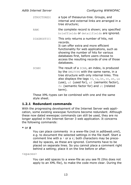| STRUCTURED: | a type of thesaurus-tree. Groups, and<br>internal and external links are arranged in a<br>tree structure;                                                                                                                                                                                                       |
|-------------|-----------------------------------------------------------------------------------------------------------------------------------------------------------------------------------------------------------------------------------------------------------------------------------------------------------------|
| RAW:        | the complete record is shown; any specified<br>brieffields Or detailfields are ignored.                                                                                                                                                                                                                         |
| DIAGNOSTIC: | This only returns a number of hits, not<br>records.<br>It can offer extra and more efficient<br>functionality for web applications, such as<br>showing the number of hits for various<br>databases first, before users choose to<br>access the resulting records of one of those<br>databases.                  |
| SCAN:       | The result of a SCAN, an index, is produced<br>by the XMLTYPE with the same name, in a<br>tree structure with only internal links. This<br>also displays the tags %0, te, bt, nt, et, us<br>(use), uf (used for), sf (semantic factor),<br>$f_{\rm V}$ (semantic factor for) and $r_{\rm t}$ (related<br>term). |

These XML-types can be combined with one and the same style sheet.

### <span id="page-16-0"></span>**1.2.1 Redundant commands**

With the progressing development of the Internet Server web application, some existing wwwopac functions become redundant. Although these now dated wwwopac commands can still be used, they are no longer applied in the Internet Server 3 web application. It concerns the following commands:

```
* or #
```
You can place comments in a www-file (not in *adlibweb.xml*), e.g. to document the selected settings in the file itself. Start a comment line with  $a * or a *$ ; both characters may be preceded by spaces, as these are ignored. Comments have to be placed on separate lines. So you cannot place a comment right behind a setting; place it on the line before or after.

<spaces>

You can add spaces to a www-file as you see fit (this does not apply to an XML file), to make the code more clear. During the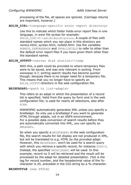processing of the file, all spaces are ignored. (Carriage returns are important, however.)

#### **ADLIB\_DIRi**=<language-specific error report directory>

Use this to indicate which folder holds error report files in one language, in www file syntax for example:

ADLIB DIR1=F:\adlib\dutch\errors. A couple of files with standard names which you can place in this directory are *norecs.html*, *syntax.html*, *nofield.html*. Use the variables NORECS, SYNTAXERROR and INVALIDFIELD to refer to other than the default error report files if you have given them other than the standard names.

#### ADLIB OUTPUT=<server disk station:>\temp

With this, a path could be provided to where temporary files were to be saved, and was only relevant in sorting. From wwwopac 4.7, sorting search results has become quicker though, because there is no longer need for a temporary file. This means that you no longer have to specify an ADLIB OUTPUT-directory in the web configuration file.

#### BRIEFADAPL=<path to list-adapls>

This refers to an adapl in which the presentation of a record list is specified. Valid from the query by form and in the web configuration file; is used for nearly all selections, also after SCAN.

WWWOPAC automatically generates XML unless you specify a briefadapl. So only use a briefadapl if you want to generate HTML through adapls, not in an ASPX-environment. For a possible data conversion of search results before they are automatically converted into XML, you can specify an XMLADAPL.

So when you specify a BRIEFADAPL in the web configuration file, the search results for list display are not produced in XML, but will be translated to e.g. HTML by the provided adapl. However, this BRIEFADAPL won't be used for a search query with which you retrieve a specific record, for instance: \$250=5. Instead, the specified DETAILADAPL will be used. In this example, record no 5 will be retrieved and the result will be processed by the adapl for detailed presentation. (%0 is the tag for record number, and the hexadecimal value of the % character is 25, preceded in the CGI-string by a %-character.

**BRIEFSTYLE** (see STYLE)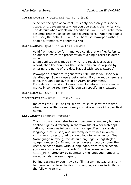#### **CONTENT-TYPE**=<text/xml or text/html>

Specifies the type of content. It is only necessary to specify CONTENT-TYPE=text/xml when you use adapls that write XML. The default when adapls are specified is text/html. Adlib then assumes that the specified adapls write HTML. When no adapls are used, the default is  $text{text}/xml$  because wwwopac without adapls automatically generates XML.

**DETAILADAPL**=<path to detail-ADAPL>

Valid from query by form and web configuration file. Refers to an adapl in which the presentation of a single record is determined.

(If an application is made in which the result is always 1 record, then the adapl for the list screen can be skipped by entering the name of the detail-adapl with 'BRIEFADAPL'.)

Wwwopac automatically generates XML unless you specify a detail-adapl. So only use a detail-adapl if you want to generate HTML through adapls, not in an ASPX-environment. For a data conversion of search results before they are automatically converted into XML, you can specify an XMLADAPL.

**DETAILSTYLE** (see STYLE)

**INVALIDFIELD**=<HTML or XML-file>

Indicates the HTML or XML-file you wish to show the visitor when the specified search query contains an invalid tag or field name.

**LANGUAGE**=<language number>

The LANGUAGE parameter has not become redundant, but was applied slightly differently in the www file of older web applications, namely as follows: LANGUAGE specifies the standard language that is used, and indirectly determines in which ADLIB\_DIRi directory Adlib should look for error report files (i=language number); the default language is English (language number=0). In web pages however, you can offer the user a selection from various languages. With this selection, you can also take error reports from the corresponding ADLIB\_DIRi directory by submitting the language number to wwwopac via the search query.

Behind language= you may also fill in a text instead of a number. You can replace the first four language codes in Adlib by the following terms: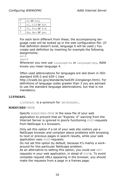|   | en <b>Or</b> eng |
|---|------------------|
|   | nl, nld Or dut   |
| 2 | fr, fra Or fre   |
| 3 | de, deu Or ger   |

For each term different from these, the accompanying language code will be looked up in the web configuration file. (If that definition doesn't exist, language 0 will be used.) You create said definition by inserting for example the following assignments:

 $es=4$ 

 $spa=4$ 

Whenever you now use language=es or language=spa, Adlib knows you mean language 4.

Often used abbreviations for languages are laid down in ISOstandard 639-2 and 639-1 (see

http://lcweb.loc.gov/standards/iso639-2/englangn.html). For definitions of language codes greater than 3 you are advised to use the standard language abbreviations, but that is not mandatory.

#### **LISTADAPL**

LISTADAPL is a synonym for BRIEFADAPL.

#### **NOEXPIRES**=TRUE

Specify NOEXPIRES=TRUE in the www file of your web application to prevent that an "Expires: 0" warning from the Internet Server is ignored in poorly functioning POST-requests from NetScape 4.x browsers.

Only set this option if a lot of your web site visitors use a NetScape browser and complain about problems with browsing to next or previous pages in search results, while your web application uses POST-requests.

Do not set this option by default, because it's mainly a workaround for this particular NetScape problem.

As an alternative to setting this option, you could use GETrequests in your web application, in stead of POSTs. To avoid complete request URLs appearing in the browser, you should make the requests from a page in a frames page.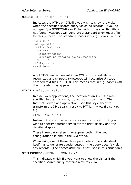*Adlib Internet Server Configuring WWWOPAC*

**NORECS**=<XML or HTML-file>

Indicates the HTML or XML-file you wish to show the visitor when the specified search query yields no records. If you do not specify a NORECS-file or if the path to the specified file is not found, wwwopac will generate a standard error report file for this purpose. The standard *norecs.xml* e.g., looks like this:

```
<adlibXML>
 <diagnostic>
   <hits>0</hits>
  \langle \text{error} \rangle <code>0</code>
    <message>no records found</message>
   </error>
 </diagnostic>
</adlibXML>
```
Any UTF-8 header present in an XML error report file is recognized and skipped. (wwwopac will recognize Unicode encoded text files in UTF-8. This means that in e.g. *norecs.xml* diacritics etc. may appear.)

**STYLE**=<mylayout.xslt>

In older web applications, the location of an XSLT file was specified in the STYLE=<mylayout.xslt> command. The Internet Server web application used this style sheet to transform the XML search result to HTML, in www file syntax e.g.:

```
STYLE=layout.xslt
```
Instead of STYLE, use BRIEFSTYLE and DETAILSTYLE if you wish to specify different styles for the brief display and the detailed display.

These three parameters may appear both in the web configuration file and in the CGI string.

When using one of these three parameters, the style sheet itself has to generate special output if the query doesn't yield any records. (The *norecs.html* file is not used in this situation.)

**SYNTAXERROR**=<HTML or XML-file>

This indicates which file you want to show the visitor if the specified search query contains a syntax error.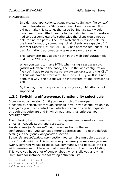#### **TRANSFORMED**=1

In older web applications, TRANSFORMED=1 (in www file syntax) meant: transform the XML search result on the server. If you did not make this setting, the value behind …STYLE= would have been transmitted directly to the web client, and therefore had to be a complete URL (otherwise the client would not be able to find the path). Then the web client is responsible for the transformation, something not all clients are capable of. In Internet Server 3, TRANSFORMED=1, has become redundant: all transformations automatically take place on the server.

This parameter may appear both in the web configuration file and in the CGI string.

When you want to make HTML when using transformed=1 (which will often be the case), then in the web configuration file you'll have to set content-type=text/html, and the XSLT output will have to start with <html or <!doctype. If it is not done this way, the output will be interpreted by the browser as XML.

By the way, the TRANSFORMED=1&DEBUG=1 combination is not supported.

#### <span id="page-21-0"></span>**1.2.2 Switching off wwwopac functionality selectively**

From wwwopac version 6.1.0 you can switch off wwwopac functionality selectively through settings in your web configuration file. This gives you more control over which information can be requested through this software and in which way, and thus enforces your security policy.

The following two commands for this purpose can be used as many times as needed: allow and disallow.

Per database (a *databaseConfiguration* section in the web configuration file) you can set different permissions. Make the default settings in the *globalConfiguration* section.

So per *databaseConfiguration* section you can give multiple allow and disallow definitions. This is necessary because you may assign some twenty different values to these two commands, and because the list with permissions will be executed cumulatively in the order of listing. This way, you have a lot of control about what is allowed and what isn't. Take for instance the following definition list:

```
<disallow>all</disallow>
<allow>search</allow>
<allow>scan</allow>
```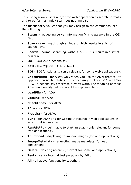This listing allows users and/or the web application to search normally and to perform an index scan, but nothing else.

The functionality values that you may assign to the commands, are the following:

- **Status** requesting server information (via ?status=1 in the CGI call).
- **Scan** searching through an index, which results in a list of search keys.
- **Search** normal searching, without Scan. This results in a list of records.
- **OAI** OAI 2.0 functionality.
- **SRU** the CQL-SRU 1.1-protocol.
- **SDI** SDI functionality (only relevant for some web applications).
- **CheckPerms** for ADW. Only when you use the ADW protocol, to approach an Adlib database, it is necessary that you allow all "for ADW" functionality, otherwise it won't work. The meaning of these ADW functionality values, won't be explained here.
- **LoadFile** for ADW.
- **Locking** for ADW.
- **CheckIndex** for ADW.
- **PFile** for ADW.
- **FreeList** for ADW.
- **Sync** for ADW and for writing of records in web applications in which that is possible.
- **RunADAPL** being able to start an adapl (only relevant for some web applications).
- **Thumbnail** displaying thumbnail images (for web applications).
- **ImageMetadata** requesting image metadata (for web applications).
- **Delete** deleting records (relevant for some web applications).
- **Test** use for internal test purposes by Adlib.
- **All** all above functionality together.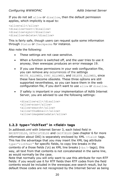If you do not set allow or disallow, then the default permission applies, which implicitly is equal to:

```
<allow>all</allow>
<disallow>test</disallow>
<disallow>sync</disallow>
<disallow>delete</disallow>
```
This is fairly safe, though users can request quite some information through Status or Checkperms for instance.

Also note the following:

- These settings are not case sensitive.
- When a function is switched off, and the user tries to use it anyway, then wwwopac produces an error message 19.
- If you use these permissions in your web configuration file, you can remove any occurrences of the settings WRITE ALLOWED, SYNC ALLOWED, and DELETE ALLOWED, since these have become obsolete. These three options are still supported nevertheless, so you can leave them in the web configuration file, if you don't want to use allow or disallow.
- If safety is important in your implementation of Adlib Internet Server, you are advised to use the following settings:

```
<disallow>all</disallow>
<allow>scan</allow>
<allow>search</allow>
<allow>thumbnail</allow>
<allow>imagemetadata</allow>
```
## <span id="page-23-0"></span>**1.2.3 type="richText" in <field> tags**

In *adlibweb.xml* with Internet Server 3, each listed field in BRIEFFIELDS, DETAILFIELDS and OAIFIELDS (see chapter 6 for more information about OAI) is separately enclosed by  $XML < field$  tags. This has the advantage that you may insert the XML tag attribute type="richText" for specific fields, to copy line breaks in the contents of a those fields ( $\ln$ ) as XML line breaks ( $\langle \text{br/} \rangle$  tags); this way, all text from that contents is not concatenated in the same line, as would normally be the case.

Note that normally you will only want to use this attribute for non-RTF fields: if you would use it for RTF fields then RTF codes from the field contents would be included in the wwwopac.exe search result, but by default those codes are not recognized by the Internet Server as being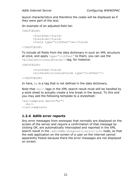layout characteristics and therefore the codes will be displayed as if they were part of the text.

An example of an adjusted field list:

```
<OAIFIELDS>
      <field>be</field>
      <field>ob</field>
      <field type="richText">av</field>
```

```
</OAIFIELDS>
```
To include all fields from the data dictionary in such an XML structure at once, and apply type="richText" to them, you can use the <allDataDictionaryFields/> tag, for instance:

<OAIFIELDS>

```
<field>be</field>
<allDataDictionaryFields type="richText"/>
```

```
</OAIFIELDS>
```
In here, be is a tag that is not defined in the data dictionary.

Note that  $\langle b r / \rangle$  tags in the XML search result must still be handled by a style sheet to actually create a line break in the layout. To this end you may add the following template to a stylesheet:

```
<xsl:template match="br">
  \braket{br/}</xsl:template>
```
### <span id="page-24-0"></span>**1.2.4 Adlib error reports**

Any error messages from wwwopac that normally are displayed on the screen of the server and require a confirmation of that message by clicking *OK*, are automatically intercepted and reported in the XML search result in the /adlibXML/diagnostic/error/info node, so that the web application on the screen of a user on the internet cannot apparently freeze because there the error messages are not displayed on screen.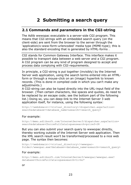# <span id="page-26-0"></span>**2 Submitting a search query**

### <span id="page-26-1"></span>**2.1 Commands and parameters in the CGI-string**

The Adlib wwwopac executable is a server-side CGI program. This means that CGI-strings with an embedded search query (on the client-side) are sent from the browser to the server through the 'application/x-www-form-urlencoded' media type (MIME-type); this is also the standard encoding that is generated by HTML-forms .

CGI stands for Common Gateway Interface. This interface makes it possible to transport data between a web server and a CGI program. A CGI program can be any kind of program designed to accept and process data complying with CGI-requirements.

In principle, a CGI-string is put together (invisibly) by the Internet Server web application, using the search terms entered into an HTMLform or through a mouse-click on an (image) hyperlink to known records. (This is done in compiled code in which you can't make any adjustments.)

A CGI-string can also be typed directly into the URL-input field of the browser. (Then certain characters, like spaces and quotes, do need to be replaced by an escape code; see the bottom part of the following list.) Doing so, you can deep-link to the Internet Server 3 web application itself, for instance, using the following syntax:

http://<webdomain>/<virtual\_directory>/dispatcher.aspx?action= search&database=<database\_name>&search=<search\_query>

#### For example:

http://demo.adlibsoft.com/InternetServer3/dispatcher.aspx?action= search&database=ChoiceFullCatalogue&search=priref=28

But you can also submit your search query to wwwopac directly, thereby working outside of the Internet Server web application. Then the XML search result won't be transformed/processed to a nice web page. The syntax then becomes:

```
http://<webdomain>/<virtual_directory>/<wwwopac-
folder>/wwwopac.exe?database=<database_name>&search=<search_query>
```
#### For example:

http://demo.adlibsoft.com/InternetServer3/wwwopac/wwwopac.exe? database=ChoiceFullCatalogue&search=ti=ko\*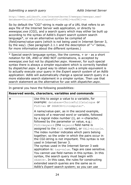http://demo.adlibsoft.com/InternetServer3/wwwopac/wwwopac.exe? database=ChoiceFullCatalogue&FLD1=ti&VAL1=ko&TRC1=on

So by default the "CGI"-string is made up of a URL that refers to an aspx file of the Internet Server web application, or directly to *wwwopac.exe* (CGI), and a search query which may either be built up according to the syntax of Adlib's *Expert search system* search language\*, or via an alternative syntax be compiled of (field)name/value-pairs (which is not being used in Internet Server 3, by the way). (See paragraph 2.1.1 and the description of "=" below, for more information about the different syntaxes.)

\* Special search language syntax, like the comma, + or - as a short notation for OR, AND or AND NOT combinations, is accepted by *wwwopac.exe* but not by *dispatcher.aspx*. However, for such special syntax there is always a simpler equivalent which is correctly handled by *dispatcher.aspx*. A good way to obtain such a simple equivalent is to actually execute your query in the *Expert search system* of an Adlib application: Adlib will automatically change a special search query in a more elaborate search statement in a simpler syntax. Then use that search statement as the alternative for use with *dispatcher.aspx*.

In general you have the following possibilities:

| Reserved words, characters, variables and commands                                                                                                                                                                                                                                                                                                                                                                                                                                                                                                                                                                                                                                                                                                                                                                                                                  |
|---------------------------------------------------------------------------------------------------------------------------------------------------------------------------------------------------------------------------------------------------------------------------------------------------------------------------------------------------------------------------------------------------------------------------------------------------------------------------------------------------------------------------------------------------------------------------------------------------------------------------------------------------------------------------------------------------------------------------------------------------------------------------------------------------------------------------------------------------------------------|
| Use this to assign a value to a variable, for<br>example: database=ChoiceFullCataloque Or<br>FLD1=au Or SEARCH=ti=computer*.                                                                                                                                                                                                                                                                                                                                                                                                                                                                                                                                                                                                                                                                                                                                        |
| A name/value-pair, as in the second example,<br>consists of a reserved word or variable, followed<br>by a logical index number (i), an =-character,<br>followed by the parameter or value, e.g.:<br>FLD1=keyword (the keyword field name is<br>assigned to the FLD1 variable), or VAL1=bicycle.<br>The index number indicates which pairs belong<br>together; so the order in which the pairs occur in<br>the CGI-string is not important. This syntax is not<br>used in Internet Server 3.<br>The syntax used in the Internet Server 3 web<br>application is: tag=value. Tags are case sensitive.<br>You cannot use field names in this syntax. In this<br>syntax, the search query must begin with<br>$SEARCH =$ . In this case, the rules for constructing<br>extended search queries are the same as in<br>Adlib's <i>Expert search system</i> ; so you can use |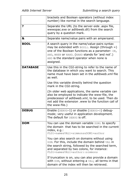|                 | brackets and Boolean operators (without index<br>number) like normal in the search language.                                                                                                                                                                        |
|-----------------|---------------------------------------------------------------------------------------------------------------------------------------------------------------------------------------------------------------------------------------------------------------------|
| ?               | Separate the URL (to the server-side .aspx file,<br>wwwopac.exe or adlibweb.dll) from the search<br>query by a question mark.                                                                                                                                       |
| &               | Separate name/value pairs with an ampersand.                                                                                                                                                                                                                        |
| <b>BOOL</b>     | A search query in the name/value-pairs syntax<br>may be extended with $BOOLi$ . Assign (through =)<br>one of the Boolean functions as a parameter: OR,<br>AND, WHEN OF NAND. (NAND stands for 'and not'.)<br>AND is the standard operator when none is<br>assigned. |
| <b>DATABASE</b> | Use this in the CGI-string to refer to the name of<br>the database in which you want to search. This<br>name must have been set in the <i>adlibweb.xml</i> file<br>as well.                                                                                         |
|                 | Use this variable directly behind the question<br>mark in the CGI-string.                                                                                                                                                                                           |
|                 | (In older web applications, the same variable can<br>also be employed to indicate the www-file, the<br>predecessor of adlibweb.xml, to be used. Then do<br>not add the extension .www to the function call of<br>the www-file.)                                     |
| <b>DEBUG</b>    | Enable (DEBUG=1) or disable (DEBUG=0) debug-<br>mode; very useful in application development.<br>The default for DEBUG is off.                                                                                                                                      |
| <b>DOM</b>      | You can use the domain variable DOMi to specify<br>the domain that has to be searched in the current<br>index, e.g.:<br>FLD1=name&VAL1=simmons&DOM1=author                                                                                                          |
|                 | You can also search on domains without using<br>DOM. For this, include the domain behind VAL in<br>the search string, followed by the searched term,<br>and separated by two colons, for instance:<br>FLD1=name&VAL1=author::simmons                                |
|                 | If truncation is on, you can also provide a domain<br>with DOM, without entering a VAL; all terms in that<br>domain of the index will then be retrieved.                                                                                                            |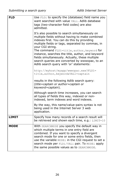| FLD          | Use FLDi to specify the (database) field name you<br>want searched with value VALi. Adlib database<br>tags (two-character field codes) are also<br>admitted.<br>It's also possible to search simultaneously on<br>multiple fields without having to make combined<br>indexes first. You can do this by providing<br>multiple fields or tags, separated by commas, in<br>your CGI string.<br>The command FLD1=title, author, keyword for<br>instance, searches the title, author, and keyword<br>fields simultaneously. Actually, these multiple<br>search queries are converted by wwwopac, to an<br>Adlib search query with 'or' statements:<br>http://myhost/myapp/wwwopac.exe?FLD1=<br>title, author, keyword&VAL1=captain<br>results in the following Adlib search query: |
|--------------|-------------------------------------------------------------------------------------------------------------------------------------------------------------------------------------------------------------------------------------------------------------------------------------------------------------------------------------------------------------------------------------------------------------------------------------------------------------------------------------------------------------------------------------------------------------------------------------------------------------------------------------------------------------------------------------------------------------------------------------------------------------------------------|
|              | (title=captain or author=captain or<br>keyword=captain).<br>Although search time increases, you can search<br>all types of fields this way, indexed or non-                                                                                                                                                                                                                                                                                                                                                                                                                                                                                                                                                                                                                   |
|              | indexed, term indexes and word indexes.<br>By the way, this name/value-pairs syntax is not<br>being used in the Internet Server 3 web<br>application.                                                                                                                                                                                                                                                                                                                                                                                                                                                                                                                                                                                                                         |
| <b>LIMIT</b> | Specify how many records of a search result will<br>be retrieved and shown each time, e.g.: LIMIT=10                                                                                                                                                                                                                                                                                                                                                                                                                                                                                                                                                                                                                                                                          |
| <b>MODE</b>  | With SEARCHMODE you specify the default way in<br>which multiple terms in one entry field are<br>combined. If you want to specify a divergent<br>search mode for one or some entry fields, then<br>use the variable MODEi in the CGI request to set a<br>search mode per FLDi/VALi pair. To MODEi apply<br>the same possible values as to SEARCHMODE.                                                                                                                                                                                                                                                                                                                                                                                                                         |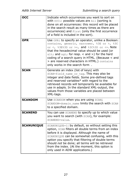| <b>OCC</b>        | Indicate which occurrences you want to sort on<br>with occi: possible values are All (sorting is<br>done on all occurrences: this record will be placed<br>in the search result as many times as there are<br>occurrences) and First (only the first occurrence<br>of a field is included in the sort).                                                                                                  |
|-------------------|----------------------------------------------------------------------------------------------------------------------------------------------------------------------------------------------------------------------------------------------------------------------------------------------------------------------------------------------------------------------------------------------------------|
| <b>OPR</b>        | Use OPRi to specify an operator, unlike a Boolean:<br>contains, generic, narrower, %3E or >, %3C<br>or <, $83E83D$ or >=, and $83C83D$ or <=. Note<br>that the hexadecimal value should be used (or<br>$\< 1$ and $\> 0$ ; for resp. < and >) for the hard<br>coding of a search query in HTML. (Because < and<br>> are reserved characters in HTML.) contains<br>only works in the search form.         |
| <b>SCAN</b>       | Generate an index (list of keys) with<br>SCAN=field name or tag. This may also be<br>integer and date fields. Some pre-defined tags<br>and reserved variables* with regard to the<br>retrieved records will temporarily be available for<br>use in adapls. In the standard XML-output, the<br>values from those variables are placed between<br>XML-tags.                                                |
| <b>SCANDOM</b>    | Use SCANDOM when you are using SCAN;<br>SCANDOM=domain name limits the search with SCAN<br>to a specified domain.                                                                                                                                                                                                                                                                                        |
| <b>SCANEND</b>    | You can use SCANEND to specify up to which value<br>you want to search (with SCAN), for example:<br>SCANEND=value.                                                                                                                                                                                                                                                                                       |
| <b>SCANUNIQUE</b> | SCANUNIQUE=1: by default, so without setting this<br>option, SCAN filters all double terms from an index<br>before it is displayed. Although the name of<br>SCANUNIQUE can be somewhat confusing, with this<br>option you specify that filtering of double terms<br>should not be done; all terms will be retrieved<br>from the index. (At the moment, this option is<br>only used in ADW applications.) |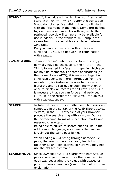| <b>SCANVAL</b>      | Specify the value with which the list of terms will<br>start, with SCANVAL=value (automatic truncation).<br>If you do not specify anything, the list will start<br>with the first value in the index. Some pre-defined<br>tags and reserved variables with regard to the<br>retrieved records will temporarily be available for<br>use in adapls. In the standard XML-output the<br>values from those variables are placed between<br>XML-tags.<br>But you can also use SCAN without SCANVAL.<br>SCAN and SCANVAL do not work in combination<br>with SEARCH.                                                            |
|---------------------|-------------------------------------------------------------------------------------------------------------------------------------------------------------------------------------------------------------------------------------------------------------------------------------------------------------------------------------------------------------------------------------------------------------------------------------------------------------------------------------------------------------------------------------------------------------------------------------------------------------------------|
| <b>SCANXMLFORCE</b> | SCANXMLFORCE=1: when you perform a SCAN, you<br>normally have no choice as to the XMLTYPE: the<br>XML is formatted in a 'scan xmltype' in which you<br>mainly find metadata. For some applications (at<br>the moment only ADW), it is an advantage if a<br>SCAN result contains more information from the<br>records, to, for instance, be able to display a<br>hierarchy and to retrieve enough information at<br>once to display all records for all keys. For this it<br>is necessary that you can force an already set<br>XMLTYPE in the result for a SCAN: you can do this<br>with SCANXMLFORCE=1.                 |
| <b>SEARCH</b>       | In Internet Server 3, submitted search queries are<br>composed in the syntax of the Adlib Expert search<br>system; in the URL entry field of your browser<br>precede the search string with SEARCH=. Do use<br>the hexadecimal forms of punctuation marks and<br>reserved characters.<br>Being able to structure search queries like in the<br>Adlib search language, also means that you've<br>largely got the same possibilities.<br>When coding a CGI string through name/value-<br>pairs, the search query is already implicitly put<br>together as an Adlib search, so here you may not<br>use the SEARCH command. |
| <b>SEARCHMODE</b>   | Since wwwopac 4.5.3, a search with name/value-<br>pairs allows you to enter more than one term in<br>each VAL, separating the values with spaces or<br>plus or minus characters (see further below for an<br>explanation).                                                                                                                                                                                                                                                                                                                                                                                              |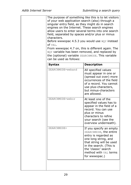| of your web application search (also) through a<br>singular entry field, as they might do in search<br>engines on the Internet. These search engines<br>allow users to enter several terms into one search<br>field, separated by spaces and/or plus or minus<br>characters.<br>Before wwwopac 4.5.3 you would use WQY instead<br>of VAL.<br>From wwwopac 4.7 on, this is different again. The<br>WQY variable has been removed, and replaced by<br>the (optional) variable SEARCHMODE. This variable<br>can be used as follows: | The purpose of something like this is to let visitors                                                                                                                                                                      |
|----------------------------------------------------------------------------------------------------------------------------------------------------------------------------------------------------------------------------------------------------------------------------------------------------------------------------------------------------------------------------------------------------------------------------------------------------------------------------------------------------------------------------------|----------------------------------------------------------------------------------------------------------------------------------------------------------------------------------------------------------------------------|
| <b>Syntax</b>                                                                                                                                                                                                                                                                                                                                                                                                                                                                                                                    | <b>Description</b>                                                                                                                                                                                                         |
| SEARCHMODE=weband                                                                                                                                                                                                                                                                                                                                                                                                                                                                                                                | All specified values<br>must appear in one or<br>(spread out over) more<br>occurrences of the field<br>of a record. You cannot<br>use plus-characters,<br>but minus-characters<br>are allowed.                             |
| SEARCHMODE=webor                                                                                                                                                                                                                                                                                                                                                                                                                                                                                                                 | At least one of the<br>specified values has to<br>appear in the field of a<br>record. You can use<br>plus or minus<br>characters to refine<br>your search (see the<br>overview underneath).                                |
| SEARCHMODE=                                                                                                                                                                                                                                                                                                                                                                                                                                                                                                                      | If you specify an empty<br>SEARCHMODE, the entire<br>entry is regarded as<br>one long string, and<br>that string will be used<br>in the search. (This is<br>the 'classic' search<br>method with VAL terms<br>for wwwopac.) |
|                                                                                                                                                                                                                                                                                                                                                                                                                                                                                                                                  |                                                                                                                                                                                                                            |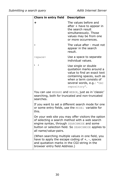| Chars in entry field                                                          | <b>Description</b>                                                                                                                                                                                        |
|-------------------------------------------------------------------------------|-----------------------------------------------------------------------------------------------------------------------------------------------------------------------------------------------------------|
| ÷                                                                             | The values before and<br>after + have to appear in<br>the search result<br>simultaneously. Those<br>values may be from one<br>or more occurrences.                                                        |
|                                                                               | The value after - must not<br>appear in the search<br>result.                                                                                                                                             |
| $<$ space>                                                                    | Use a space to separate<br>individual values.                                                                                                                                                             |
|                                                                               | Use single or double<br>quotation marks around a<br>value to find an exact text<br>containing spaces, such as<br>when a term consists of<br>several words, e.g.: "OAI<br>repository".                     |
| searches.                                                                     | You can use WEBAND and WEBOR, just as in 'classic'<br>searching, both for truncated and non-truncated                                                                                                     |
| this.                                                                         | If you want to set a different search mode for one<br>or some entry fields, use the MODEi variable for                                                                                                    |
| all name/value-pairs.                                                         | On your web site you may offer visitors the option<br>of selecting a search method with a web search<br>engine syntax, through SEARCHMODE and some<br>button or selection field. So SEARCHMODE applies to |
| and quotation marks in the CGI-string in the<br>browser entry field Address.) | (When searching multiple values in one field, you<br>have to apply the escape coding of $+$ , $-$ , spaces                                                                                                |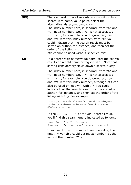| <b>SEQ</b> | The standard order of records is ascending. In a<br>search with name/value pairs, select the<br>alternative via SEQi=descending.<br>The index number here, is separate from FLD and<br>VAL index numbers. So, SEQ1 is not associated<br>with FLD1, for example. You do group SEQ, SRT<br>and TYP with this index number. With SRT you<br>could indicate that the search result must be<br>sorted on author, for instance, and then set the<br>order of the listing with SEQ.<br>SEQ cannot be used without specified SRT. |
|------------|---------------------------------------------------------------------------------------------------------------------------------------------------------------------------------------------------------------------------------------------------------------------------------------------------------------------------------------------------------------------------------------------------------------------------------------------------------------------------------------------------------------------------|
| <b>SRT</b> | In a search with name/value pairs, sort the search<br>results on a field name or tag via SRTi. Note that<br>sorting considerably slows down a search query!                                                                                                                                                                                                                                                                                                                                                               |
|            | The index number here, is separate from FLD and<br>VAL index numbers. So, SRT1 is not associated<br>with FLD1, for example. You do group SEQ, SRT<br>and TYP with this index number, although SRT can<br>also be used on its own. With SRT you could<br>indicate that the search result must be sorted on<br>author, for instance, and then set the order of the<br>listing with SEQ. For example:                                                                                                                        |
|            | /wwwopac.exe?database=ChoiceFullCatalogue&<br>FLD1=ti&VAL1=ko&TRC1=on&SRT0=author.name&<br>SEQ0=descending                                                                                                                                                                                                                                                                                                                                                                                                                |
|            | In the <diagnostic> of the XML search result,<br/>you'll find this search query indicated as follows:</diagnostic>                                                                                                                                                                                                                                                                                                                                                                                                        |
|            | <search>'ti' = "ko*"</search><br><sort>sort 'author.name' descending</sort>                                                                                                                                                                                                                                                                                                                                                                                                                                               |
|            | If you want to sort on more than one value, the<br>first SRT-variable could get index number '1', the<br>second the number '2', etc.                                                                                                                                                                                                                                                                                                                                                                                      |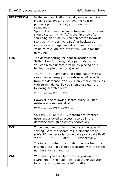| <b>STARTFROM</b> | In the web application, usually only a part of an<br>index is displayed. To retrieve the next or<br>previous part of the list, you should use<br>STARTFROM.<br>Specify the numerical value from which the search<br>should start, in which '1' is the first key after<br>searching on SCANVAL. You can search forwards<br>(STARTFROM = positive value) or backwards<br>(STARTFROM = negative value). Use the LIMIT-<br>value to calculate the STARTFROM-value for the<br>new page. |
|------------------|------------------------------------------------------------------------------------------------------------------------------------------------------------------------------------------------------------------------------------------------------------------------------------------------------------------------------------------------------------------------------------------------------------------------------------------------------------------------------------|
| <b>TRC</b>       | The default setting for right truncation is off.<br>Switch it on for name/value pair i via TRCi=on.<br>You can also truncate a value by placing an *<br>behind the (first part of a) word.                                                                                                                                                                                                                                                                                         |
|                  | The TRCi=all command, in combination with a<br>search for an empty VALi retrieves all records<br>from the database. TRCi=all only works for fields<br>with term indexes. So you should use e.g. the<br>following search query:                                                                                                                                                                                                                                                     |
|                  | FLD1=author&VAL1=&TRC1=all                                                                                                                                                                                                                                                                                                                                                                                                                                                         |
|                  | However, the following search query will not<br>retrieve any records at all:                                                                                                                                                                                                                                                                                                                                                                                                       |
|                  | FLD1=author&VAL1=&TRC1=on                                                                                                                                                                                                                                                                                                                                                                                                                                                          |
|                  | So TRCi=all or TRCi=on determines whether<br>users are allowed to access records in the<br>database through an empty search key.                                                                                                                                                                                                                                                                                                                                                   |
| <b>TYP</b>       | To be used next to SRT, to indicate the type of<br>sorting. Sort the search result alphabetically<br>(default), numerically, or on date (for a date field)<br>via TYPi=t, TYPi=n, or TYPi=d respectively.                                                                                                                                                                                                                                                                          |
|                  | The index number must match the one from the<br>intended SRT. This is not associated with the index<br>numbers for FLD and VAL.                                                                                                                                                                                                                                                                                                                                                    |
| VAL              | With VALi you specify the value you want to<br>search on, in the field FLDi. See the explanation<br>for FLD and TRC for more information.                                                                                                                                                                                                                                                                                                                                          |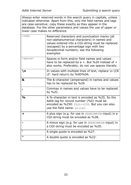Always enter reserved words in the search query in capitals, unless indicated otherwise. Apart from this, only the field names and tags are case-sensitive; copy these exactly as they appear in the database. For the other parameters and values the use of upper or lower case makes no difference.

| $<$ %HH>        | Reserved characters and punctuation marks (all<br>non-alphanumerical characters) in names and<br>values entered into a CGI-string must be replaced<br>(escaped) by a percentage sign with two<br>hexadecimal numbers; see the following<br>examples: |
|-----------------|------------------------------------------------------------------------------------------------------------------------------------------------------------------------------------------------------------------------------------------------------|
| <space></space> | Spaces in form and/or field names and values<br>have to be replaced by a +. But %20 instead of +<br>also works. Preferably, do not use spaces literally.                                                                                             |
| ١n              | In values with multiple lines of text, replace $\ln$ (CR<br>LF: hard return) by %0D%0A.                                                                                                                                                              |
| &               | The &-character (ampersand) in names and values<br>has to be replaced by %26                                                                                                                                                                         |
| ı               | Commas in names and values have to be replaced<br>by %2C.                                                                                                                                                                                            |
| $\frac{0}{0}$   | A %-character in text is encoded as %25. So the<br>Adlib tag for record number (%0) must be<br>encoded as %250: FLDi=%250. But you can also<br>use the field name: priref.                                                                           |
| ÷               | A plus sign (e.g. for use in SEARCHMODE-input) in a<br>CGI-string must be encoded as %2B.                                                                                                                                                            |
|                 | A minus sign (e.g. for use in SEARCHMODE-input) in<br>a CGI-string must be encoded as %2D.                                                                                                                                                           |
|                 | A single quote is encoded as %27.                                                                                                                                                                                                                    |
| w               | A double quote is encoded as %22.                                                                                                                                                                                                                    |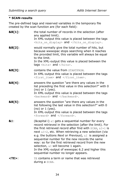### **\* SCAN-results**

The pre-defined tags and reserved variables in the temporary file created by the scan function are (for each field):

| &B[1]:         | the total number of records in the selection (after<br>any applied limit).<br>In XML-output this value is placed between the tags<br><hits display="" on=""> and </hits> .                                                                                                                                                                                                                                                                                                                                                                       |
|----------------|--------------------------------------------------------------------------------------------------------------------------------------------------------------------------------------------------------------------------------------------------------------------------------------------------------------------------------------------------------------------------------------------------------------------------------------------------------------------------------------------------------------------------------------------------|
| &B[2]:         | would normally give the total number of hits, but<br>because wwwopac stops searching when it reaches<br>the provided limit, this variable will always be equal<br>to the limit.<br>In the XML-output this value is placed between the<br>tags <hits> and </hits> .                                                                                                                                                                                                                                                                               |
| &B[3]:         | <b>contains the value from STARTFROM.</b><br>In XML-output this value is placed between the tags<br><first item=""> and </first> .                                                                                                                                                                                                                                                                                                                                                                                                               |
| &B[4]:         | answers the question "are there any values in the<br>list preceding the first value in this selection?" with 0<br>$(no)$ or $1$ (yes).<br>In XML-output this value is placed between the tags<br><backward> and </backward> .                                                                                                                                                                                                                                                                                                                    |
| &B[5]:         | answers the question "are there any values in the<br>list following the last value in this selection?" with 0<br>$(no)$ or $1$ (yes).<br>In XML-output this value is placed between the tags<br><forward> and </forward> .                                                                                                                                                                                                                                                                                                                       |
| <b>&amp;I:</b> | (&capital i) $\&I$ gets a sequential number for every<br>record retrieved in the selection (after the limit). For<br>the first retrieved record after find with $SCAN$ , $&I=1$ is<br>next &I=2, etc. When retrieving a new selection (via<br>e.g. the buttons Next or Previous), $\&I$ is assigned a<br>sequential number for the new records the same<br>way: so for the first retrieved record from the new<br>selection, &I will become 1 again.<br>In the XML-output of wwwopac 6.2 and higher this<br>sequential number no longer appears. |
| $<$ TE $>$ :   | TE contains a term or name that was retrieved<br>during a SCAN.                                                                                                                                                                                                                                                                                                                                                                                                                                                                                  |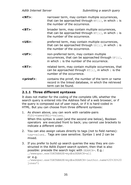| $<$ NT $>$ :       | narrower term, may contain multiple occurrences,<br>that can be approached through $NT[i]$ , in which i is<br>the number of the occurrence.       |
|--------------------|---------------------------------------------------------------------------------------------------------------------------------------------------|
| $<$ BT $>$ :       | broader term, may contain multiple occurrences,<br>that can be approached through $BT[i]$ , in which i is<br>the number of the occurrence.        |
| $<$ US $>$ :       | preferred term, may contain multiple occurrences,<br>that can be approached through $US[i]$ , in which i is<br>the number of the occurrence.      |
| $<$ UF $>$ :       | non-preferred term, may contain multiple<br>occurrences, that can be approached through UF[i],<br>in which $\pm$ is the number of the occurrence. |
| $<$ RT $>$ :       | related term, may contain multiple occurrences, that<br>can be approached through $RT[i]$ , in which i is the<br>number of the occurrence.        |
| <priref>:</priref> | contains the priref, the number of the term or name<br>record in the linked database, in which the retrieved<br>term can be found.                |

### **2.1.1 Three different syntaxes**

It does not matter for the coding of the complete URL whether the search query is entered into the *Address* field of a web browser, or if the query is composed out of user input, or if it is hard-coded in HTML. But you can choose from three different syntaxes:

1. As shown above, you can work with variable-pairs FLDi=name&VALi=value&… When this syntax is used (and the second one below), Boolean

operators are executed front to back; you cannot use brackets to indicate a different order.

- 2. You can also assign values directly to tags (not to field names): tag=value&… Tags are case sensitive. Syntax 1 and 2 can be mixed.
- 3. If you prefer to build up search queries the way they are constructed in the Adlib *Expert search system*, then that is also possible: precede the search logic with SEARCH=. E.g.: …/wwwopac.exe?DATABASE=mydb&SEARCH=all or e.g. …/wwwopac.exe?DATABASE=mydb&SEARCH=(author.name%20%3D%20 jones\*)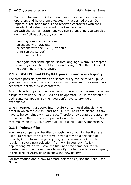You can also use brackets, open pointer files and nest Boolean operators and have them executed in the desired order. Do replace punctuation marks and reserved characters with their hexadecimal values preceded by a %-character.

So with the SEARCH-statement you can do anything you can also do in an Adlib-application, such as:

- creating combined selections;
- selections with brackets;
- selections with the \$today-variable;
- print (on the server);
- open pointer files.

Note again that some special search language syntax is accepted by *wwwopac.exe* but not by *dispatcher.aspx*. See the full text at the beginning of this chapter.

## **2.1.2 SEARCH and FLD/VAL pairs in one search query**

The three possible syntaxes of a search query can be mixed up. So you can use FLD/VAL pairs and a SEARCH= in one and the same query, separated normally by & characters.

To combine both parts, the SEARCHBOOL operator can be used. You can assign the values OR or AND NOT to this operator. AND is the default if both syntaxes appear, so then you don't have to provide a SEARCHBOOL.

When interpreting a query, Internet Server cannot distinguish the order in which the SEARCH part and FLD/VAL pairs are placed, if they have to be combined with AND NOT. Therefore, by default the assumption is made that the SEARCH part is located left in the equation. So that makes an FLD/VAL query AND NOT a SEARCH query impossible.

## **2.1.3 Pointer files**

You can also open pointer files through wwwopac. Pointer files are useful to present the visitor of your web site with a selection of records, in the form of a gallery, e.g. you can use a pointer file to regularly save a new selection (from within your own Adlibapplication). When you save the file under the same pointer file number, you do not even have to modify the hard-coded search query in the HTML or ASPX-page to show the new gallery.

For information about how to create pointer files, see the Adlib User Guide.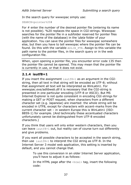In the search query for wwwopac simply use:

SEARCH=pointer%20#

For # enter the number of the desired pointer file (entering its name is not possible). %20 replaces the space in CGI-strings. Wwwopac searches for the pointer file in a subfolder reserved for pointer files (with the name of the database) in the \*data* folder of your application. You can save the pointer files for wwwopac somewhere else, but then you have to tell wwwopac where the pointer file can be found. Do this with the variable ADLIB PTR. Assign to this variable the path name to the pointer files, in the search query or in the web configuration file.

When, upon opening a pointer file, you encounter error code 135 then the pointer file cannot be opened. This may mean that the pointer file is currently in use, or that it does not exist.

## **2.1.4 isutf8=1**

If you insert the assignment  $i$ sutf8=1 as an argument in the CGIstring, then all text in that string will be encoded as UTF-8; without that assignment all text will be interpreted as WinLatin1. For *wwwopac.exe/adlibweb.dll* it is necessary that the CGI-string is presented in one particular encoding (UTF-8 or ASCII). But MS Internet Explorer is not quite consistent in encoding CGI-strings for making a GET or POST request, when characters from a different character set (e.g. Japanese) are inserted: the whole string will be encoded in UTF8, except for characters with accent-marks from the current character set – in western Europe this is WinLatin1 (ISO-8859-1) for example. (And technically these accentuated characters unfortunately cannot be distinguished from UTF-8 encoded characters.)

If you think that users will only enter western characters, then you can leave  $isutf8=1$  out, but reality can of course turn out differently and give problems.

If you want all possible characters to be accepted in the search string, then use  $isutf8=1$  to interpret the CGI string as UTF-8. In the Internet Server 3 model web application, this setting is inserted by default, and you cannot change that.

> To use this conversion in an older Internet Server application, you'll have to adjust it as follows:

In the HTML page after the  $\text{thm} > \text{tag}$ , insert the following code: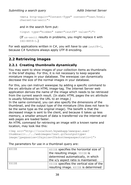```
<meta http-equiv="Content-Type" content="text/html; 
charset=us-ascii">
```
and in the search form put:

<input type="hidden" name="isutf8" value="1">

(If us-ascii results in problems, you might replace it with ISO-8859-1.)

For web applications written in C#, you will *have* to use isutf8=1, because C# functions always apply UTF-8 encoding.

## **2.2 Retrieving images**

## **2.2.1 Creating thumbnails dynamically**

You may want to show images of your collection items as thumbnails in the brief display. For this, it is not necessary to keep separate miniature images in your database. The wwwopac can dynamically decrease the size of the normal images in your database.

For this, you can instruct wwwopac by adding a specific command to the src attribute of an HTML image-tag. The Internet Server web application derives the name of the image which needs to be retrieved from the current search result. (In static HTML pages the src attribute is usually followed by the URL to an image.)

In the same command, you can also specify the dimensions of the thumbnail, and the output type of the miniature (this does not have to be the same type as the original image). The benefit is that the decreased image is sent to the client, and because it takes up less memory, a smaller amount of data is transferred via the internet and web pages are loaded faster.

An HTML command for retrieving an image with a known name and location, may look like this:

<Img src="http://localhost/mywebapp/wwwopac.exe? thumbnail=../../webimages/test.gif&outputtype= image/jpeg&xsize=10&ysize=20&dontkeepaspectratio=1">

The parameters for use in a thumbnail query are:  $XSTZF$   $XSTZF$  specifies the horizontal size of the resulting image. YSIZE is

|       | ASIZE Specifies the Horizontal Size of   |
|-------|------------------------------------------|
|       | the resulting image. YSIZE is            |
|       | determined automatically, in which       |
|       | the x/y aspect ratio is maintained.      |
| YSIZE | YSIZE specifies the vertical size of the |
|       | resulting image. XSIZE is determined     |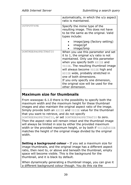|                     | automatically, in which the x/y aspect<br>ratio is maintained.                                                                                                                                                                                                                                                                                                                                                |
|---------------------|---------------------------------------------------------------------------------------------------------------------------------------------------------------------------------------------------------------------------------------------------------------------------------------------------------------------------------------------------------------------------------------------------------------|
| OUTPUTTYPE          | Specify the mime type of the<br>resulting image. This does not have<br>to be the same as the original. Valid<br>types include:                                                                                                                                                                                                                                                                                |
|                     | image/jpeg (factory setting)<br>image/gif<br>image/bmp                                                                                                                                                                                                                                                                                                                                                        |
| DONTKEEPASPECTRATIO | When you use this parameter and set<br>it to $1$ , the original $x/y$ ratio is not<br>maintained. Only use this parameter<br>when you specify both XSIZE and<br>YSIZE. The resulting thumbnail image<br>will always become YSIZE high and<br>XSIZE wide, probably stretched in<br>one of both dimensions.<br>If you only specify one dimension,<br>the original size will be used for the<br>other dimension. |

## **Maximum size for thumbnails**

From wwwopac 6.1.0 there is the possibility to specify both the maximum width and the maximum height for these thumbnail images and also maintain the original aspect ratio of the image. Simply provide both an XSIZE and YSIZE value for the thumbnail that you want to retrieve, and do not specify

DONTKEEPASPECTRATIO, or set DONTKEEPASPECTRATIO to zero. Then the aspect ratio will remain intact and the thumbnail image will always be limited in size by either the provided maximum width or the provided maximum height, or by both if YSIZE/XSIZE matches the height of the original image divided by the original width.

**Setting a background colour -** If you set a maximum size for image thumbnails, and the original image has a different aspect ratio, then next to, or above and beneath the thumbnail, empty space will become visible. This is the background for the thumbnail, and it is black by default.

When dynamically generating a thumbnail image, you can give it a different background colour though. You do this via the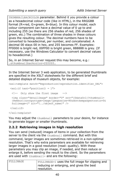THUMBNAILBACKCOLOR parameter. Behind it you provide a colour as a hexadecimal colour code (like in HTML), in the RRGGBB format (R=red, G=green, B=blue). In this colour model, each colour component can have a decimal value of 0 up to and including 255 (so there are 256 shades of red, 256 shades of green, etc.) The combination of three shades in these colours gives the resulting colour. The decimal numbers have to be converted to hexadecimal, per number, and concatenated. A decimal 00 stays 00 in hex, and 255 becomes FF. Examples: FF0000 is bright red, 00FF00 is bright green, 888888 is grey. (If necessary, use the Windows Calculator to convert decimal values to hexadecimal.)

So, in an Internet Server request this may become, e.g.: …&thumbnailbackcolor=222222…

In the Internet Server 3 web application, to be generated thumbnails are specified in the XSLT stylesheets for the different brief and detailed displays of museum objects, for example:

```
<xsl:template match="Reproduction/reproduction.identifier_URL">
<xsl:if test="position() = 1">
   <!-- Only show the first image --> 
   <img class="detailImage" border="0" src="{$dataUrl}?thumbnail=
   {@weburl}&outputtype=image/jpeg&xsize=80&dontkeepaspectratio=0&
   fullimage=1" alt="{../object_name}" /> 
\langle xs|:if\rangle</xsl:template>
```
You may adjust the thumbnail parameters to your desire, for instance to generate bigger or smaller thumbnails.

## **2.2.2 Retrieving images in high resolution**

You can send (reduced) images of items in your collection from the server to the client via the thumbnail command. But with this command, larger images are sometimes retrieved in a non-optimal resolution. That's why extra parameters are available for retrieving larger images in a good resolution (read: quality). With these parameters you may clip an image, if needed, and then reduce or enlarge it, before sending the result to the client. So the parameters are used with  $t$ humbnail= and are the following:

| FULLIMAGE | FULLIMAGE=1 uses the full image for clipping and |  |
|-----------|--------------------------------------------------|--|
|           | reducing or enlarging, and gives the best        |  |
|           | l resolution.                                    |  |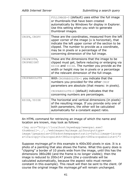|                                 | FULLIMAGE=0 (default) uses either the full image<br>or thumbnails that have been created<br>automatically by Windows for display in Explorer.<br>Use this setting when you wish to generate<br>thumbnail images.                                                                                       |
|---------------------------------|--------------------------------------------------------------------------------------------------------------------------------------------------------------------------------------------------------------------------------------------------------------------------------------------------------|
| CROPX, CROPY                    | These are the coordinates, measured from the left<br>upper corner of the image (x is horizontal), that<br>indicate the left upper corner of the section to be<br>clipped. The number to provide as a coordinate,<br>may be in pixels or a percentage of the<br>concerning dimension of the full image. |
| CROPWIDTH,<br><b>CROPHEIGHT</b> | These are the dimensions that the image to be<br>clipped must get, before reducing or enlarging via<br>XSIZE and YSIZE. The number you provide as the<br>width or height may be in pixels or a percentage<br>of the relevant dimension of the full image.                                              |
| CROPABSOLUTE                    | With CROPABSOLUTE=1 you indicate that the<br>numbers you provided for the other CROP<br>parameters are absolute (that means: in pixels).<br>CROPABSOLUTE=0 (default) indicates that the                                                                                                                |
|                                 | concerning numbers are percentages.                                                                                                                                                                                                                                                                    |
| XSIZE, YSIZE                    | The horizontal and vertical dimensions (in pixels)<br>of the resulting image. If you provide only one of<br>both parameters, the other will be calculated<br>automatically for a constant aspect ratio.                                                                                                |

An HTML command for retrieving an image of which the name and location are known, may look as follows:

```
<Img src="http://localhost/mywebapp/wwwopac.exe?
thumbnail=../../webimages/myimage.gif&outputtype= 
image/jpeg&xsize=200&dontkeepaspectratio=0&fullimage=1&crop
x=10&cropy=10&cropwidth=380&cropheight=280&cropabsolute=1">
```
Suppose *myimage.gif* in this example is 400x300 pixels in size. It is a photo of a painting that also shows the frame. What this query does is "clipping" a border of 10 pixels wide from the image, until this has the dimensions 380x280 (and the frame is no longer visible); then the image is reduced to 200x147 pixels (the y-coordinate will be calculated automatically, because the aspect ratio must remain constant in this example). This result will then be sent to the client. Of course the original image file *myimage.gif* will remain unchanged.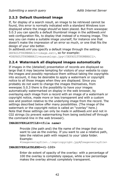## **2.2.3 Default thumbnail image**

If, for display of a search result, an image to be retrieved cannot be found, this error is normally indicated with a standard Windows icon displayed where the image should've been placed. But from wwwopac 5.0.3 you can specify a default thumbnail image in the *adlibweb.xml* web configuration file, to display that instead of a missing image. This way you can make a suitable image yourself, for instance one that doesn't make the impression of an error so much, or one that fits the design of your site better.

In *adlibweb.xml* you specify a default image through the setting: DEFAULTTHUMBNAIL=<image.ext>, so for example: <DEFAULTTHUMBNAIL>museumlogo.jpg</DEFAULTTHUMBNAIL>.

## **2.2.4 Watermark all displayed images automatically**

If images in the (detailed) presentation of records are displayed so large that it may become tempting for visitors of your website to copy the images and possibly reproduce them without taking the copyrights into account, it may be desirable to apply a watermark or copyright notice to all those images when they are displayed. Since you probably do not want to change the images themselves, from wwwopac 5.0.3 there is the possibility to have your images automatically watermarked on display in the web browser, by overlaying each image from a record with an image of a watermark or copyright notice, made more or less transparent and with a custom size and position relative to the underlying image from the record. The settings described below offer many possibilities. (The image of the watermark or the copyright notice is called an "overlay" here.) Note that these settings can only be made in *adlibweb.xml* and not in CGI strings (to prevent watermarking from being switched off through the command-line in the web browser).

#### **IMAGEOVERLAYFILE=<file name>**

Provide (the path and) the file name of the image that you want to use as the overlay. If you want to use a relative path, take the relative path with respect to your *\data* folder. Example:

<imageoverlayfile>..\imgs\copyright.jpg</imageoverlayfile>

#### **IMAGEOVERLAYBLEND=<1-100>**

Enter de extent of opacity of the overlay: with a percentage of 100 the overlay is completely opaque, while a low percentage makes the overlay almost completely transparent.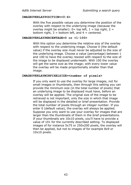#### **IMAGEOVERLAYPOSITION=<0-4>**

With the five possible values you determine the position of the overlay with respect to the underlying image (because the overlay might be smaller):  $0=$  top left,  $1=$  top right,  $2=$ bottom right,  $3 =$  bottom left, and  $4 =$  centered.

#### **IMAGEOVERLAYPERCENTAGE=0 or <1-100>**

With this option you determine the relative size of the overlay with respect to the underlying image. Choose 0 (the default value) if the overlay size must never be adjusted to the size of the underlying image. Choose a value (percentage) between 1 and 100 to have the overlay resized with respect to the size of the image to be displayed underneath. With 100 the overlay will get the same size as the image; with every lower value the overlay will be made proportionally smaller than that image.

#### **IMAGEOVERLAYMINPIXELSIZE=<number of pixels>**

If you only want to use the overlay for large images, not for small images or thumbnails, then through this setting you can provide the minimum size (in the total number of pixels) that an underlying image to be displayed must have, before an overlay will be applied. The original size of the image to be retrieved is not important, only the size in which that image will be displayed in the detailed or brief presentation. Provide the total number of pixels through an integer number. If you enter 0 (default value), the overlay will always be applied. Suppose you only want to use your overlay for images that are larger than the thumbnails of them in the brief presentations. If your thumbnails are 10x10 pixels, you'll have to provide a value of 101 for the currently described setting. To displayed images of for instance 5x75 or 250x200 pixels, the overlay will then be applied, but not to images of for example 8x9 or 10x10 pixels.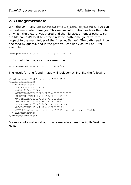## **2.3 Imagemetadata**

With the command imagemetadata=<file name of picture> you can request metadata of images. This means information such as the date on which the picture was stored and the file size, amongst others. For the file name it's best to enter a relative pathname (relative with respect to the main folder of the Internet Server). The path needn't be enclosed by quotes, and in the path you can use / as well as  $\backslash$ , for example:

…wwwopac.exe?imagemetadata=images/test.gif

or for multiple images at the same time:

```
…wwwopac.exe?imagemetadata=images/*.gif
```
The result for one found image will look something like the following:

```
<?xml version="1.0" encoding="UTF-8" ?> 
<imageMetaDataSet>
   <imageMetaData>
     <FILE>test.gif</FILE> 
     <SIZE>2150</SIZE> 
     <CREATIONDATE>27/03/2005</CREATIONDATE> 
     <CREATIONTIME>16:11:39</CREATIONTIME> 
     <WRITEDATE>24/01/2006</WRITEDATE> 
     <WRITETIME>11:45:38</WRITETIME> 
     <ACCESSDATE>07/06/2006</ACCESSDATE> 
     <ACCESSTIME>15:44:10</ACCESSTIME> 
     <PATH>D:\demo.adlibsoft.com\IS3\images\test.gif</PATH>
   </imageMetaData>
</imageMetaDataSet>
```
For more information about image metadata, see the Adlib Designer Help.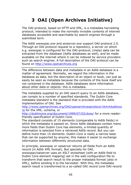# **3 OAI (Open Archives Initiative)**

The OAI-protocol, based on HTTP and XML, is a metadata harvesting protocol, intended to make the normally invisible contents of internet databases accessible and searchable by search engines through a submitted term.

The Adlib *wwwopac.exe* and *aoiserver.exe* support OAI-protocol 2.0. Through an OAI protocol request to a repository, a server on which e.g. wwwopac is configured for the OAI-protocol, (meta) data can be extracted from the database (Adlib databases as well), and be made available on the internet where it can be indexed by service providers such as search engines. A full description of the OAI-protocol can be found on [http://www.openarchives.org](http://www.openarchives.org/)

The difference between data and metadata in an Adlib database is a matter of agreement. Normally, we regard the information in the database as data, but the description of an object or book, can just as easily be seen as metadata because the contents of the book itself are not contained in the database. Adlib databases store information about other data or objects: this is metadata.

The metadata supplied by an OAI search query to an Adlib database, can comply to a number of specified standards. The Dublin Core metadata standard is the standard that is provided with the Adlib implementation of OAI. See

[http://www.openarchives.org/OAI/openarchivesprotocol.htm#dublinco](http://www.openarchives.org/OAI/openarchivesprotocol.htm#dublincore) [re](http://www.openarchives.org/OAI/openarchivesprotocol.htm#dublincore) for the XML.-schema, or

[http://dublincore.org/document/1999/07/02/dces/](http://dublincore.org/documents/1999/07/02/dces/) for a more readerfriendly specification of Dublin Core.

The standard consists of 15 elements (comparable to Adlib fields) in which the metadata is passed on. Since Adlib databases contain many more fields than Dublin Core has elements, a limited quantity of information is selected from a retrieved Adlib record. But you can define more than 15 elements. Dublin Core is really a narrow base that can be supported by anyone; this makes it easier to exchange information between differently structured data.

In principle, wwwopac or oaiserver returns all fields from an Adlib record (in Adlib XML format). But specially for OAI, wwwopac/oaiserver uses an XSLT stylesheet (with an Adlib field to Dublin Core element mapping) set in the web configuration file to transform that search result to the proper metadata format (also in XML), before sending it to the harvester. With this, the metadata search result is transformed to a so-called OAI record (one OAI-record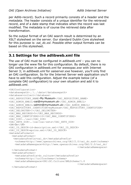per Adlib-record). Such a record primarily consists of a *header* and the *metadata*. The header consists of a unique identifier for the retrieved record, and of a date stamp that indicates when the record was last modified. The metadata is of course the retrieved data after transformation.

So the output format of an OAI search result is determined by an XSLT stylesheet on the server. Our standard Dublin Core stylesheet for this purpose is: *oai\_dc.xsl*. Possible other output formats can be based on this stylesheet.

## **3.1 Settings for the adlibweb.xml file**

The use of OAI must be configured in *adlibweb.xml* – you can no longer use the www file for this configuration. By default, there is no OAI configuration in *adlibweb.xm*l for *wwwopac.exe* with Internet Server 3; in *adlibweb.xml* for *oaiserver.exe* however, you'll only find an OAI configuration. So for the Internet Server web application you'll have to add this configuration. Adjust the example below (of a complete OAI configuration) to your own situation and add it to *adlibweb.xml*.

```
<OAIConfiguration>
<databasepath>..\..\data</databasepath>
<database>collect</database>
<OAI_REPOSITORY_NAME>My Museum</OAI_REPOSITORY_NAME>
<OAI_ADMIN_EMAIL>oai@mymuseum.uk</OAI_ADMIN_EMAIL>
<OAI ADMIN EMAIL>admin@mymuseum.uk</OAI ADMIN EMAIL>
<OAI_REPOSITORY_IDENTIFIER>myMuseum</OAI_REPOSITORY_IDENTIFIER>
<OAI_DELIMITER>:</OAI_DELIMITER> 
<OAI_MAX_RECORDS>5</OAI_MAX_RECORDS>
<OAI_MAX_IDENTIFIERS>10</OAI_MAX_IDENTIFIERS>
<OAI_DIR>..\oai</OAI_DIR> 
<OAI_SETS_DIR>..\oai\oai-sets</OAI_SETS_DIR>
<DM>dm</DM> 
<OAI_ID_DESCR>id-description.xml</OAI_ID_DESCR>
<OAI_ID_DESCR>eprins.xml</OAI_ID_DESCR>
<metadataFormats>
  <metadataFormat>
    <metadataPrefix>oai_dc</metadataPrefix>
     <schema>http://www.openarchives.org/OAI/2.0/oai_dc.xsd</schema>
     <metadataNamespace>http://www.openarchives.org/OAI/2.0/oai_dc/
                                                </metadataNamespace>
   </metadataFormat>
   <metadataFormat>
     <metadataPrefix>dc_culture</metadataPrefix>
     <schema>http://urltoschema</schema>
     <metadataNamespace>URI:DC.Culture/XMLSchema/1.0
                                                </metadataNamespace>
   </metadataFormat>
```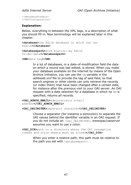```
</metadataFormats>
</OAIConfiguration>
```
#### **Explanation:**

Below, everything in between the XML tags, is a description of what you should fill in. New terminology will be explained later in this chapter.

```
<database>the Adlib database in which one can 
search</database>
```

```
<databasepath>disk station:\my Adlib 
folder\data</databasepath>
```

```
<DM>date tag</DM>
```
In a lot of databases, in a date-of-modification field the date on which a record was last edited, is stored. When you make your database available on the internet by means of the Open Archive Initiative, you can use the DM variable in the *adlibweb.xml* file to provide the tag of said field, so that search engines or other clients can only retrieve the records (or index them) that have been changed after a certain date, for instance after the previous visit to your OAI server. An OAI request with a date selection for a database in which no DM is specified, returns *all* records.

**<OAI\_ADMIN\_EMAIL>**administrator e-mail address**</OAI\_ADMIN\_EMAIL>**

**<OAI\_DELIMITER>**separator character**</OAI\_DELIMITER>**

Choose a separator (for instance a semicolon) to separate the URI values behind the identifier variable in an OAI request. If you do not include an < $OAI$  DELIMITER>, wwwopac/oaiserver assumes you want to use a colon.

**<OAI\_DIR>**path to a directory where the OAI resumption tokens and style sheets must be stored**</OAI\_DIR>**

> When you enter a relative path, this path must be relative to the path you set with <databasepath>.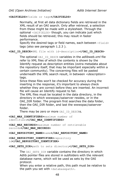#### **<OAIFIELDS>**fields or tags**</OAIFIELDS>**

Normally, at first all data dictionary fields are retrieved in the XML result of an OAI search. Only after retrieval, a selection from these might be made with a stylesheet. Through the optional <OAIFIELDS> though, you can indicate just which fields should be retrieved; this may result in faster performance.

Specify the desired tags or field names, each between <field> tags (also see paragraph 1.2.3 ).

#### **<OAI\_ID\_DESCR>**XML file with id-description**</OAI\_ID\_DESCR>**

The optional OAI\_ID\_DESCR variables in the *adlibweb.xml* file refer to XML files of which the contents is shown by the Identify request as description entities (extra metadata about the repository itself, that may be important especially within a certain community). The concerning files will be pasted underneath the XML search result, in between *<description>* tags.

Since these files won't be checked for accuracy during the inserting in the response, it's important to always check whether they are correct before they are inserted. An incorrect file will cause an Identify request to fail.

The XML files must be located in the data directory, in the directory in which wwwopac/oaiserver resides, or in the OAI DIR folder. The program first searches the data folder, then the OAI\_DIR folder, and last the wwwopac/oaiserver folder.

There may be zero or more OAI\_ID\_DESCRS.

**<OAI\_MAX\_IDENTIFIERS>**maximum number of identifiers**</OAI\_MAX\_IDENTIFIERS>**

**<OAI\_MAX\_RECORDS>**maximum number of retrievable records**</OAI\_MAX\_RECORDS>**

#### **<OAI\_REPOSITORY\_NAME>**name**</OAI\_REPOSITORY\_NAME>**

**<OAI\_REPOSITORY\_IDENTIFIER>**repository id**</OAI\_REPOSITORY\_IDENTIFIER>**

#### **<OAI\_SETS\_DIR>**path to sets directory**</OAI\_SETS\_DIR>**

The OAI\_SETS\_DIR variable contains the directory in which Adlib pointer files are stored in subfolders with the relevant database name, which will be used as sets by the OAI protocol.

When you enter a relative path, this path must be relative to the path you set with <databasepath>.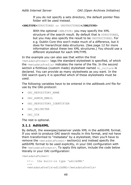If you do not specify a sets directory, the default pointer files folder will be used instead.

**<XMLTYPE>**STRUCTURED or UNSTRUCTURED**</XMLTYPE>**

With the optional <XMLTYPE> you may specify the XML structure of the search result. By default that is STRUCTURED, but you may also specify the result to be UNSTRUCTURED. For e.g. Dublin Core this won't make much of a difference, but it does for hierarchical data structures. (See page 12 for more information about these two XML structures.) You should use a different stylesheet for each XMLTYPE.

In the example you can also see that within the first  $<sub>metadatarormat</sub>$  tags the standard stylesheet is specified, of which</sub> the <metadataPrefix> indicates the name of the file. In the second section a fictitious (custom made) stylesheet named dc\_culture is declared. You can provide as many stylesheets as you want. In the OAI search query it is specified which of these stylesheets must be used.

The following variables have to be entered in the *adlibweb.xml* file for use by the OAI-protocol:

- OAI REPOSITORY NAME
- OAI\_ADMIN\_EMAIL
- OAI\_REPOSITORY\_IDENTIFIER
- OAI\_DELIMITER
- OAI\_DIR

The rest is optional.

## **3.1.1 AdlibXML**

By default, the wwwopac/oaiserver yields XML in the *adlibXML* format. If you wish to produce OAI search results in this format, and not have them transformed to "metadata" by a stylesheet, then you'll have to remove the <metadataFormat> section(s) and instead specify the *adlibXML* format to be used explicitly, in your OAI configuration with the <metadataFormats>. To apply this option, include the code below literally in your OAI configuration:

<metadataFormat>

```
 <!-- the built-in type 'adlibXML' 
--\sim <metadataPrefix>adlibXML</metadataPrefix>
```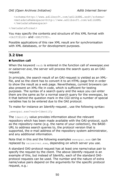```
 <schema>http://www.adlibsoft.com/adlibXML.xsd</schema> 
 <metadataNamespace>http://www.adlibsoft.com/adlibXML
 </metadataNamespace>
```
</metadataFormat>

You may specify the contents and structure of this XML format with <OAIFIELDS> and <XMLTYPE>.

Possible applications of this raw XML result are for synchronisation with XML databases, or for development purposes.

## **3.2 Use**

## ■ function call

When the keyword verb is entered in the function call of *wwwopac.exe* or *oaiserver.exe*, the server will process the search query as an OAIrequest.

In principle, the search result of an OAI-request is yielded as an XMLfile, and so the client has to convert it to an HTML-page first in order to show the result as a web page. Nevertheless, current browsers can also present an XML-file in code, which is sufficient for testing purposes. The syntax of a search query and the ways you can enter them are the same as for a normal search query for the wwwopac, be it that behind the question mark in the CGI-string a number of special variables has to be entered due to the OAI protocol.

To make for instance an Identify-request , use the following syntax:

```
…wwwopac.exe?verb=Identify
```
The Identify value provides information about the relevant repository which has been made available with the OAI-protocol, such as the repository-name (e.g. the name of your collection), the BASE-URL to address search queries to, the protocol version that is supported, the e-mail address of the repository system administrator, and any additional information.

Note that in this and the following examples wwwopac.exe can be replaced by  $\circ$ aiserver.exe, depending on which server you use.

A standard OAI-protocol request has at least one name/value pair to specify the request by the client. The above Identify-request is an example of this, but instead of Identify, each of the standard OAIprotocol requests can be used. The number and the nature of extra name/value pairs depend on the arguments for the specific protocol request, e.g.: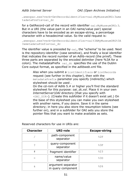…wwwopac.exe?verb=GetRecord&identifier=oai:MyMuseumORG:3&me tadataPrefix=oai\_dc

for a GetRecord-call of the record with identifier oai: MyMuseumORG: 3. But in a URI (the value-part in an OAI name/value pair) special characters have to be encoded as an escape-string, a percentage character with a hexadecimal value. So the valid request is:

```
…wwwopac.exe?verb=GetRecord&identifier=oai%3AMyMuseumORG%3A
3&metadataPrefix=oai_dc
```
The identifier value is preceded by  $\circ$ ai, the "schema" to be used. Next is the repository-identifier (case sensitive), and finally a local identifier that indicates the record number of an Adlib-record (the priref). These three parts are separated by the encoded delimiter (here %3A for a colon). The metadataPrefix oai dc specifies the use of the Dublin Core output format, as specified in the *adlibweb.xml* file.

> Also when you submit a ListIdentifiers or ListRecords request (see further in this chapter), then with the metadataPrefix parameter you specify (indirectly) which stylesheet should be used .

On the cd-rom of Adlib 5.# or higher you'll find the standard stylesheet for this purpose: *oai\_dc.xsl*. Place it in your own *InternetServer\OAI* directory (that you specify with <OAI\_DIR>). (Create this subfolder if it doesn't exist yet.) On the base of this stylesheet you can make you own stylesheet with another name, if you desire. Save it in the same directory; in here you also store the resumption tokens (see further on), and in a subfolder for OAI sets you store the pointer files that you want to make available as sets.

| <b>Character</b> | <b>URI-role</b>                          | <b>Escape-string</b> |
|------------------|------------------------------------------|----------------------|
|                  | path-component<br>separator              | 82F                  |
| ?                | query-component<br>separator             | 83F                  |
| #                | fragment identifier                      | 823                  |
| $=$              | name/value<br>separator                  | 83D                  |
| &                | argument separator<br>in query component | 826                  |

Reserved characters for use in URIs are: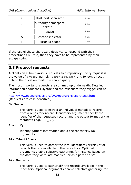|               | Host-port separator              | 83A  |
|---------------|----------------------------------|------|
|               | authority namespace<br>separator | 83B  |
|               | space                            | 820  |
| $\frac{0}{0}$ | escape indicator                 | 825  |
|               | escaped space                    | \$2B |

If the use of these characters does *not* correspond with their predestined URI-role, then they have to be represented by their escape string.

## **3.3 Protocol requests**

A client can submit various requests to a repository. Every request is the value of a verb, namely: verb=<request> and follows directly behind the question mark in a search query.

The most important requests are summed up underneath. Detailed information about their syntax and the responses they trigger can be found on

[http://www.openarchives.org/OAI/openarchivesprotocol.html.](http://www.openarchives.org/OAI/openarchivesprotocol.html) (Requests are case-sensitive.)

#### **GetRecord**

This verb is used to extract an individual metadata-record from a repository record. Mandatory arguments specify the identifier of the requested record, and the output format of the metadata (e.g. oai dc).

#### **Identify**

Identify gathers information about the repository. No arguments.

#### **ListIdentifiers**

This verb is used to gather the local identifiers (prirefs) of all records that are available in the repository. Optional arguments enable selective gathering, for instance based on the date they were last modified, or as a part of a set.

#### **ListRecords**

This verb is used to gather all\* the records available in the repository. Optional arguments enable selective gathering, for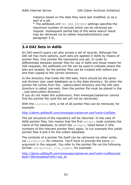instance based on the date they were last modified, or as a part of a set.

\* The *adlibweb.xml* OAI\_MAX\_RECORDS settings specifies the maximum number of records which can be retrieved per request. Subsequent partial lists of the same search result may be retrieved via so-called resumptiontokens (see paragraph 3.5).

## **3.4 OAI Sets in Adlib**

An OAI-search query can also access a set of records. Although the OAI set has more options, such sets are applied in Adlib by means of pointer files. One pointer file represents one set. In order to differentiate between pointer files for use in Adlib and those meant for OAI-requests, the *adlibweb.xml* file can be used to indicate where the sets are located. So the pointer files can be created with *adlwin.exe* and then copied to the correct directory.

In the directory that holds the OAI-sets, there should be the same sub-division (per used database) as in the data-directory. So when the pointer file comes from the *..\data\collect* directory and the OAI sets directory is called \*oai-sets*, then the pointer file must be placed in the *..\oai-sets\collect* directory.

If you do not make this subdivision, then wwwopac/oaiserver cannot find the pointer file (and the set will not be retrieved).

With the ListSets verb, a list of all pointer files can be retrieved, for example:

<http://demo.adlibsoft.com/wwwopac/oaiserver.exe?verb=ListSets>

The set structure of the repository will be returned. In the case of Adlib pointer files, this means that the first setSpec node contains the name of the database, to which the setSpecs listed below it (the numbers of the relevant pointer files) apply. In our example this yields pointer files 4 and 5 for the collect database.

The contents of a pointer file itself can be retrieved via other verbs, via ListRecords for instance. You'll have to provide the extra set argument in the request. You refer to the pointer file via the following format: set=pointer file number, for example:

[http://demo.adlibsoft.com/wwwopac/oaiserver.exe?verb=ListRecords](http://demo.adlibsoft.com/wwwopac/oaiserver.exe?verb=ListRecords&set=5&metadataPrefix=oai_dc) [&set=5&metadataPrefix=oai\\_dc](http://demo.adlibsoft.com/wwwopac/oaiserver.exe?verb=ListRecords&set=5&metadataPrefix=oai_dc)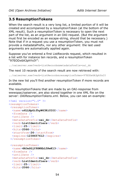## **3.5 ResumptionTokens**

When the search result is a very long list, a limited portion of it will be created and accompanied by a resumptionToken (at the bottom of the XML result). Such a resumptionToken is necessary to open the next part of the list, as an argument in an OAI-request. (But the argument must first be encoded as an escape-string, should that be necessary.) Note that if in a request you use a resumptionToken, you must not provide a metadataPrefix, nor any other argument: the last used arguments are automatically applied again.

Suppose you've entered a first ListRecords request, which resulted in a list with for instance ten records, and a resumptionToken "97EODx6A3phYxIY":

../oaiserver.exe?verb=ListRecords&metadataPrefix=oai\_dc

The next 10 records of the search result are now retrieved with:

../oaiserver.exe?verb=ListRecords&resumptionToken=97EODx6A3phYxIY

In the new list you'll find another resumptionToken if more records are available.

The resumptionTokens that are made by an OAI-response from wwwopac/oaiserver, are also stored together in one XML file on the server: *OAIResumptionTokens.xml.* Below, you can see an example:

```
<?xml version="1.0" ?>
<resumptionTokens>
 <resumptionToken>
 <name>z6LLHpGifhyW63KiUIOI</name>
 <fromDate />
 <untilDate />
 <metaDataPrefix>oai_dc</metaDataPrefix>
 <verb>ListIdentifiers</verb>
 <limit>25</limit>
 <hits>2066</hits>
 <startFrom>26</startFrom>
  <expires>1238657612</expires>
 </resumptionToken>
 <resumptionToken>
  <name>4NJeSGjY9XWXbL5RwK13</name>
 <fromDate />
 <untilDate />
 <metaDataPrefix>oai_dc</metaDataPrefix>
  <verb>ListIdentifiers</verb>
  <limit>25</limit>
 <hits>2066</hits>
```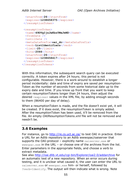```
<startFrom>26</startFrom>
  <expires>1238658375</expires>
</resumptionToken>
<resumptionToken>
 <name>49DVgIjnJeKbzYWeJwND</name>
 <fromDate />
 <untilDate />
 <metaDataPrefix>oai_dc</metaDataPrefix>
  <verb>ListIdentifiers</verb>
 <limit>25</limit>
 <hits>2066</hits>
 <startFrom>26</startFrom>
 <expires>1238658417</expires>
</resumptionToken>
</resumptionTokens>
```
With this information, the subsequent search query can be executed correctly. A token expires after 24 hours; this period is not configurable. However, there is a work-around to establish a longer period incidentally: date and time of expiry are saved per resumption-Token as the number of seconds from some historical date up to the expiry date and time. If you know up front that you want to keep certain resumptionTokens longer than 24 hours, then adjust the desired <expires> values in the XML file, by adding enough seconds to them (86400 per day of delay).

When a resumptionToken is made, and the file doesn't exist yet, it will be created. If it does exist, the resumptionToken is simply added. After the resumptionToken has been used, it'll be removed from the file. An empty *OAIResumptionTokens.xml* file will not be removed and needn't be.

## **3.6 Examples**

For instance, go to [http://re.cs.uct.ac.za/](http://oai.dlib.vt.edu/cgi-bin/Explorer/oai2.0/testoai) to test OAI in practice. Enter a URL for an Adlib repository to an Adlib wwwopac/oaiserver that supports the OAI-protocol – explicitly name oaiserver.exe or wwwopac.exe in the URL – or choose one of the archives from the list. Enter parameters in the appropriate fields, and choose a verb to extract metadata.

See also<http://oai.dlib.vt.edu/cgi-bin/Explorer/oai2.0/addarchive> for an automatic test of a new repository. When an error occurs during testing, and it is unclear what caused it, the user can enter the URL to oaiserver.exe or wwwopac.exe him- or herself, followed by ?verb=Identify. The output will then indicate what is wrong. Note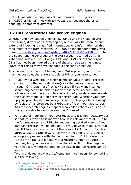that full validation is only possible with *oaiserver.exe* (version 6.4.0.579 or higher), not with *wwwopac.exe*, because the error handling is somewhat different.

## **3.7 OAI repositories and search engines**

Whether and how search engines like Yahoo and MSN search OAI repositories, differs per search engine, and usually the manner and extend of indexing is classified information. Any information on this topic must come from research. In 2000, an independent study was done [\(http://library.lanl.gov/cgi-bin/getfile?LA-UR-05-9158.pdf\)](http://library.lanl.gov/cgi-bin/getfile?LA-UR-05-9158.pdf) into the search engine coverage of the OAI corpus. It turned out that Yahoo had indexed 65%, Google 44% and MSN 7% of that corpus. 21% had not been indexed by any of these three search engines. (Note that things may have changed significantly since 2000.)

To increase the chances of having your OAI repository indexed as much as possible, there are a couple of things you have to do:

- 1. If you own a web site on which users can view in detail records coming from the same database(s) as the ones you open up through OAI, you must first ask yourself if you want internet search engines to be able to index those detail records. The advantage could be a complete indexing of your database records; the disadvantage is a higher web server load. Whether you open up your probably dynamically generated web pages to "crawling" by "spiders", is often set by a *robots.txt* file on your web server. And most search engines respect a so-called robots exclusion so that your web site won't be searched/indexed.
- 2. For a useful indexing of your OAI repository it is not necessary per se that your web site is indexed too. It *is* relevant that all URIs to the full resources, e.g. URLs for requesting detailed views of your database records, will be indexed. So you have to make sure that the URI to a resource is part of the relevant OAI record. For this purpose use the Dublin Core identifier element. In the Adlib example stylesheets with the field mapping to Dublin Core, the identifier tag is still filled with a record number or object number, but you can easily put in there the URL to the page on your web site where the detailed display of the full record can be viewed.

To this end, replace the *priref* template in *oai\_dc.xsl* by something like the following:

<xsl:template match="priref"> <xsl:element name="dc:identifier"> <xsl:text>http://our\_website/dispatcher.aspx?action=search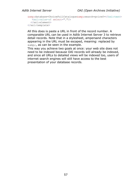```
\&amp;amp;j\&amp;database=ChoiceFullCatalogue\&amp;amp;issearch=pricef=</xsl:text> <xsl:value-of select="."/> 
   </xsl:element>
</xsl:template>
```
All this does is paste a URL in front of the record number. A comparable URL can be used in Adlib Internet Server 3 to retrieve detail records. Note that in a stylesheet, ampersand characters appearing in the URL must be escaped, meaning: replaced by  $\&$ , as can be seen in the example.

This way you achieve two goals at once: your web site does not need to be indexed because OAI records will already be indexed, and since all URLs to detailed views will be indexed too, users of internet search engines will still have access to the best presentation of your database records.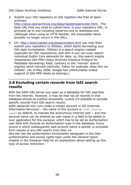3. Submit your OAI repository to OAI registers like that of openarchives:

[http://www.openarchives.org/data/registerasprovider.html .](http://www.openarchives.org/data/registerasprovider.html) The base URL that you need to submit here, is your repository URL, in principle up to and including *oaiserver.exe* or *wwwopac.exe* (although when using an HTTP handler, the executable name possibly no longer occurs in the URL).

4. On:<http://www.oaister.org/dataproviders.html> you may then submit your repository to OAIster, which starts harvesting your OAI data immediately. OAIster is a search engine created especially for OAI repositories, and with it you can even search individual Dublin Core elements for data: so, this search engine implements OAI-PMH (Open Archives Initiative Protocol for Metadata Harvesting) itself, contrary to the "normal" search engines which harvest indirectly. Yahoo for example, does this via OAIster. (As of May 2008, Google has unfortunately ended support of OAI-PMH feeds as sitemap.)

## **3.8 Excluding certain records from OAI search results**

With the Adlib OAI server you open up a database for OAI searches from the internet. However, it may be that not all records in that database should be publicly accessible. Luckily it's possible to exclude specific records from OAI search results.

Adlib *oaiserver.exe* runs under a certain account in IIS (Internet Information Services) – the name of this account is  $ISUR < server$ name> by default, to indicate the anonymous internet user – and this account name can be entered as user name in a field to be added to your application for this purpose, which has to be set as *Authorisation user field* with *Exclude* as *Authorisation type* in the database. Every record in which subsequently said account name is stored, is excluded from results of any OAI search from then on.

See the *Use the authorisation functionality* paragraph in the *User authentication and access rights* topic under the *General topics* chapter in the Designer Help for an explanation about setting up this type of access restriction.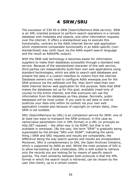# **4 SRW/SRU**

The successor of Z39.50 is SRW (Search/Retrieve Web service). SRW is an XML oriented protocol to perform search operations in a remote database with metadata and objects, and other information requests over the internet. It offers a standardized way to execute this functionality, contrary to the Adlib Internet Server web application which implements comparable functionality in an Adlib-specific (nonstandardized) way (with input via the Adlib expert search language and the result as AdlibXML output).

With the SRW web technology it becomes easier for information suppliers to make their databases accessible through a standard web service. Because of the standardized character of this web service, third parties can independently build their own web applications using standard technologies, which are able to search said databases and present the data in a custom interface to visitors from the internet. Database owners only need to configure Adlib *wwwopac.exe* for the SRW protocol via the *adlibweb.xml* file; they don't need their own Adlib Internet Server web application for this purpose. Note that SRW makes the databases set up for this goal, available (read-only of course) to the entire internet, and that everyone can use the information from the databases as they please. Normally, public databases will be most suited. If you want to sell data or wish to publicize your data only within its context via your own web application (maybe also because of copyright on certain data), then SRW is not suitable.

SRU (SearchRetrieve by URL) is an companion service for SRW: one of at least two ways to transport the SRW protocol, in this case as name/value parameters (not in XML format) in a URL (in principle an http GET request) – the other way is via SOAP, but that is not available in wwwopac. (By the way, the term "SRW" is gradually being superseded by the phrase "SRU over SOAP", indicating the same thing.) SRW and SRU requests and results are comparable, the difference being the way search queries and results are encapsulated. Moreover, SRU is complementary to OAI, the Open Archives Initiative, which is supported by Adlib as well. Whilst the main purpose of OAI is to allow harvesting of bulk (meta)data, SRU is well suited to retrieve only the records you are looking for by means of specific search queries. The main similarity between both protocols is that the XML format in which the search result is retrieved, can be chosen by the user (the client), up to a certain extent.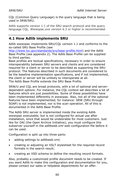CQL (Common Query Language) is the query language that is being used in SRW/SRU.

Adlib supports version 1.1 of the SRU search protocol and the query language CQL. *Wwwopac.exe* version 6.3 or higher is recommended.

## **4.1 How Adlib implements SRU**

Adlib wwwopac implements SRU/CQL version 1.1 and conforms to the so-called SRU Base Profile (see

[http://www.loc.gov/standards/sru/base-profile.html\)](http://www.loc.gov/standards/sru/base-profile.html) and the Adlib Base Profile (see appendix 2). The Adlib Base Profile can be supplied to third parties.

Base profiles are textual specifications, necessary in order to ensure interoperability between SRU servers and clients and are considered required for a client or server to be described as supporting the SRU protocol. The features described in such documents are considered to be the baseline implementation specifications, and if not implemented, the client or server will be unlikely to interoperate at all. The Adlib Base Profile extends the SRU Base Profile.

SRW/U and CQL are broad protocols, with a lot of optional and serverdependent options. For instance, the CQL context set describes a lot of features which are just possibilities. Some of these possibilities have been implemented differently in wwwopac. Also, not all of the optional features have been implemented, for instance: SRW (SRU through SOAP) is not implemented, nor is the *scan* operation. All of this is documented in the Adlib Base Profile.

The Adlib SRU server is implemented inside the existing Adlib wwwopac executable, but is not configured for actual use after installation, since that would be undesirable for most customers. Just like for OAI (the Open Archive Initiative), you must configure this subserver yourself in the *adlibweb.xml* web configuration file before it can be used.

Configuration is split up into three parts:

- adding settings to *adlibweb.xml*;
- creating or adjusting an XSLT stylesheet for the required record formats in the search result;
- creating an XSD schema to define the resulting record formats.

Also, probably a customized profile document needs to be created. If you want Adlib to make this configuration and documentation for you, please contact our sales or helpdesk departments for an offer.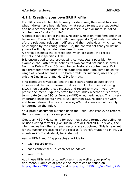## **4.1.1 Creating your own SRU Profile**

For SRU clients to be able to use your database, they need to know what indexes have been defined, what record formats are supported and how searches behave. This is defined in one or more so-called "context sets" and a "profile".

A context set is a list of indexes, relations, relation modifiers and their behaviour. The Adlib Base Profile (see appendix 2) already describes a/o the relations, relation modifiers and their behaviour, which cannot be changed by the configuration. So, the context set that you define yourself will only contain index descriptions.

A profile describes the context sets which are used, the record formats, and it specifies URIs.

It is encouraged to use pre-existing context sets if possible. For example, the Bath profile defines its own context set but also draws from the Dublin Core, CQL and Record Metadata context sets. Doing this promotes transparency and standardization. The same holds for usage of record schemas. The Bath profile for instance, uses the preexisting Dublin Core and MarcXML formats.

First configure wwwopac (see the next paragraph) to support the indexes and the record format that you would like to export using SRU. Then describe these indexes and record formats in your own profile document. Explicitly state for each index whether it is a word, term, date (either ISO or European/US) or numeric index. This is very important since clients have to use different CQL relations for word and term indexes. Also state the *sortpath* that clients should supply for sorting on the index.

Your profile document extends upon the Adlib Base Profile, so refer to that document in your own profile.

Create an XSD XML schema for each new record format you define, or re-use existing formats (like Dublin Core or MarcXML). This way, the client knows how the retrieved records are structured. This is relevant for the further processing of the records (a transformation to HTML via a custom XSLT stylesheet, for instance).

Assign URIs\* and (if applicable) short ids for:

- each record format:
- each context set, i.e. each set of indexes;
- your profile.

Add these URIs and ids to *adlibweb.xml* as well as your profile document. Examples of profile documents can be found on [http://zthes.z3950.org/srw/](http://zthes.z3950.org/srw/current.html) and [http://zing.z3950.org/srw/bath/2.0/.](http://zing.z3950.org/srw/bath/2.0/)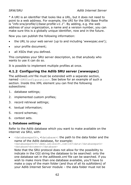\* A URI is an identifier that looks like a URL, but it does not need to point to a web address. For example, the URI for the SRU Base Profile is "*info:srw/profile/1/base-profile-v1.1*". By adding, e.g. the web address of your organization, a name and a version number, you can make sure this is a globally unique identifier, now and in the future.

Now you can publish the following information:

- the URL to your web server (up to and including '*wwwopac.exe*');
- your profile document;
- all XSDs that you defined.

This completes your SRU server description, so that anybody who wants to use it can do so.

It is possible to implement multiple profiles at once.

## **4.1.2 Configuring the Adlib SRU server (wwwopac)**

The *adlibweb.xml* file must be extended with a separate section, named <SRUConfiguration>. See below for an example of such a section. Inside this XML element you can find the following subsections:

- 1. database settings;
- 2. implemented custom profiles;
- 3. record retrieval settings;
- 4. textual information;
- 5. record schemas;
- 6. context sets.

## **1. Database settings**

Refer to the Adlib database which you want to make available on the internet via SRU, with:

• <databasepath>, <database>: the path to the data folder and the name of the Adlib database, for example: <databasepath>D:\demo.adlibsoft.com\IS3\data</databasepath> <database>document</database>

Note that the SRU protocol does not allow for the possibility to indicate in the CGI string the database to be searched: only the one database set in the *adlibweb.xml* file can be searched. if you wish to make more than one database available, you'll have to make a copy of the main folder (and thus of all its subfolders) of your Adlib Internet Server module – the data folder must not be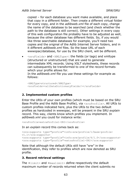copied – for each database you want make available, and place that copy in a different folder. Then create a different virtual folder for every copy, and in the *adlibweb.xml* file of each copy, change the name of the database to be searched (and check whether the path to the database is still correct). Other settings in every copy of this web configuration file probably have to be adjusted as well, because the other database has different fields. So, if you would like three searchable databases for example, you'll need two copies and the original of the Adlib Internet Server folders, and in it different *adlibweb.xml* files. So the base URL of each wwwopac/database, for use by the SRU client, will be different.

 $\langle$  sruFields $\rangle$  and  $\langle$ XMLType $\rangle$ : the fields (or tags) and xmltype (structured or unstructured) that are used to generate intermediate XML records. Using XSLT stylesheets, these records can subsequently be transformed to one of the record formats which your profile allows for.

In the *adlibweb.xml* file you use these settings for example as follows:

<XMLType>structured</XMLType> <sruFields><allDataDictionaryFields/></sruFields>

## **2. Implemented custom profiles**

Enter the URIs of your own profiles (which must be based on the SRU Base Profile and the Adlib Base Profile), via <sruProfile>. All URIs to custom profiles indicated here, plus the URIs to the two default profiles as hardcoded in wwwopac, will be present in the SRU *explain* record. This way, clients know which profiles you implement. In *adlibweb.xml* you could for instance write:

<sruProfile>extraProfile1-URI</sruProfile>

In an *explain* record this comes back as:

```
<zrx:supports type="profile">info:srw/profile/1/base-profile-
v1.1</zrx:supports>
<zrx:supports type="profile">info:srw/profile/6/1.0</zrx:supports>
<zrx:supports type="profile">extraProfile1-URI</zrx:supports>
```
Note that although the default URIs still have "srw" in the identification, they refer to profiles which are now denoted as SRU profile.

#### **3. Record retrieval settings**

The  $\langle$ limit> and  $\langle$ maxlimit> define respectively the default maximum number of records returned when the client submits no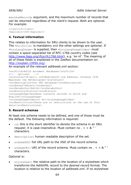maximumRecords argument, and the maximum number of records that can be returned regardless of the client's request. Both are optional. For example:

 $\langle$ limit $>$ 10 $\langle$ /limit $\rangle$ <maxlimit>100</maxlimit>

## **4. Textual information**

This relates to information for SRU clients to be shown to the user. The  $\leq$ sruTitle> is mandatory and the other settings are optional. If <sruLangUsage> is supplied, then <sruLangUsageCodes> must contain a space-separated list of RFC-1766 country codes (see [http://www.faqs.org/rfcs/rfc1766.html\)](http://www.faqs.org/rfcs/rfc1766.html), e.g. 'en nl'. The meaning of all of these fields is explained in the ZeeRex documentation on: [http://explain.z3950.org/.](http://explain.z3950.org/)

An example of the relevant *adlibweb.xml* section:

```
<sruTitle>Adlib document database</sruTitle>
<!-- optional -->
<sruContact>E-mail: info@adlibsoft.com Address: Postbox 1436 
Maarssen the Netherlands</sruContact>
<sruDescription>Our SRU database</sruDescription>
<sruExtent>Extent</sruExtent>
<sruDataAuthor>Adlib</sruDataAuthor>
<sruHistory>history</sruHistory>
<sruLangUsage>Database contains records in Dutch and 
English</sruLangUsage>
<sruLangUsageCodes>nl en</sruLangUsageCodes>
<sruRestrictions>There are no restrictions on the use of this 
data</sruRestrictions>
```
## **5. Record schemas**

At least one schema needs to be defined, and one of those must be the default. The following information is required:

- id: this is the short identifier to denote the schema in an SRU request; it is case-insensitive. Must contain no  $s > 8$ " characters.
- description: human readable description of the set.
- schemaXSD: full URL path to the XSD of the record schema.
- schemaURI: URI of the record schema. Must contain no  $s > 8$ " characters.

Optional is:

• stylesheet: the relative path to the location of a stylesheet which transforms the AdlibXML record to the desired record format. The location is relative to the location of *adlibweb.xml*. If no stylesheet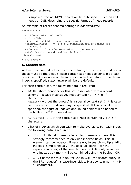is supplied, the AdlibXML record will be published. This then still needs an XSD describing the specific format of these records!

An example of record schema settings in *adlibweb.xml*:

```
<sruSchemas>
```

```
<sruSchema default="true">
 <id>dc</id>
 <description>Dublin Core</description>
 <schemaXSD>http://www.loc.gov/standards/sru/dc-schema.xsd
  </schemaXSD>
 <schemaURI>info:srw/schema/1/dc-v1.1</schemaURI>
 <stylesheet>..\sru\dc.xsl</stylesheet>
</sruSchema>
```
</sruSchemas>

#### **6. Context sets**

At least one context set needs to be defined, via <sruSet>, and one of those must be the default. Each context set needs to contain at least one index. One or none of the indexes can be the default; if no default index is specified, *cql.anywhere* will be the default.

For each context set, the following data is required:

```
id: the short identifier for this set (associated with a record
schema), is case insensitive. Must contain no s > 8 "
characters. 
'adlib' (without the quotes) is a special context set. In this case 
no contextURI or indexes may be specified. If this special id is 
specified, then just all indexes and linked fields will be added to 
the built-in 'adlib' context set.
```
- contextURI: URI of the context set. Must contain no  $s < 8$ "' characters.
- a list of indexes which you wish to make available. For each index, the following data is required:
	- field: Adlib field name or index tag (case-sensitive). It is strongly recommended to only use indexed fields! This XML element can be repeated if necessary, to search multiple Adlib indexes "simultaneously"; the split-up "parts" (for the separate indexes) of the search query – Adlib only searches one index at a time – will be combined using the Boolean OR.
	- name: name for this index for use in CQL (the search query in the SRU request), is case-insensitive. Must contain no  $s > 8$ " ' characters.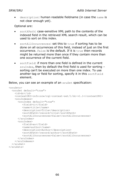description: human readable fieldname (in case the name is not clear enough yet).

#### Optional are:

- sortXPath: case-sensitive XML path to the contents of the indexed field in the retrieved XML search result, which can be used to sort on this index.
- sortAllOccurrences: set this to true if sorting has to be done on all occurrences of this field, instead of just on the first occurrence. False is the default. If it is true then records might be returned more than once if they contain more than one occurrence of the current field.
- sortField: if more than one field is defined in the current sruIndex, then by default the first field is used for sorting – sorting can't be executed on more than one index. To use another tag or field for sorting, specify it in this sortField element.

Below, you can see an example of an sruSet specification:

```
<sruSets>
   <sruSet default="true">
     <id>dc</id> 
     <contextURI>info:srw/cql-context-set/1/dc-v1.1</contextURI>
     <sruIndexes>
       <sruIndex default="true">
          <field>ti</field>
          <name>title</name>
          <description>Title</description>
          <sortXPath>/record/title</sortXPath>
          <sortAllOccurrences>false</sortAllOccurrences>
       </sruIndex>
       <sruIndex>
          <field>au</field>
          <name>author</name>
          <description>Author</description>
          <sortXPath>/record/author</sortXPath>
          <sortAllOccurrences>false</sortAllOccurrences>
       </sruIndex>
     </sruIndexes>
   </sruSet>
</sruSets>
```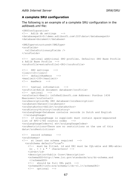#### **A complete SRU configuration**

#### The following is an example of a complete SRU configuration in the *adlibweb.xml* file:

```
<SRUConfiguration>
<!-- Adlib db settings --> 
<databasepath>D:\demo.adlibsoft.com\IS3\data</databasepath> 
<database>document</database> 
<XMLType>structured</XMLType> 
<sruFields>
   <allDataDictionaryFields /> 
</sruFields>
<!-- optional additional SRU profiles. Defaults: SRU Base Profile 
& Adlib Base Profile --> 
<sruProfile>extraProfile1-URI</sruProfile> 
<!-- SRU settings --> 
<limit>10</limit> 
<!-- defaultNumRecs --> 
<maxlimit>100</maxlimit> 
\langle!-- maxRecs -->
<!-- textual information --> 
<sruTitle>Adlib document database</sruTitle> 
<!-- optional --> 
<sruContact>Email: info@adlibsoft.com Address: Postbus 1436 
Maarssen</sruContact>
<sruDescription>My SRU database</sruDescription> 
<sruExtent>Extent</sruExtent> 
<sruDataAuthor>Adlib</sruDataAuthor> 
<sruHistory>history</sruHistory> 
<sruLangUsage>Database contains records in Dutch and English
 </sruLangUsage> 
<!-- if sruLangUsage is supplied: must contain space-separated 
list of RFC-1766 country codes --> 
<sruLangUsageCodes>nl en</sruLangUsageCodes> 
<sruRestrictions>There are no restrictions on the use of this 
data</sruRestrictions> 
<!-- record schemas --> 
<sruSchemas>
<!-- at least one schema required --> 
   <sruSchema default="true">
     <!-- must be filled. id and URI must be CQL-able and XML-able:
     no \sqrt{2} \sqrt{2} \sqrt{2} \sqrt{2} \sqrt{2} \sqrt{2} \sqrt{2} \sqrt{2} \sqrt{2} \sqrt{2} \sqrt{2} \sqrt{2} \sqrt{2} \sqrt{2} \sqrt{2} \sqrt{2} \sqrt{2} \sqrt{2} \sqrt{2} \sqrt{2} \sqrt{2} \sqrt{2} \sqrt{2} \sqrt{2} \sqrt{2} \sqrt{2} \sqrt{2} \ <id>dc</id> 
     <description>Dublin Core</description> 
     <schemaXSD>http://www.loc.gov/standards/sru/dc-schema.xsd
       </schemaXSD> 
     <!-- should be full URL path --> 
     <schemaURI>info:srw/schema/1/dc-v1.1</schemaURI> 
     <!-- optional -->
```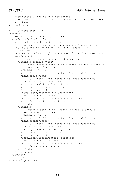```
 <stylesheet>..\sru\dc.xsl</stylesheet> 
     <!-- relative to localdir. if not available: adlibXML --> 
   </sruSchema>
</sruSchemas>
<!-- context sets --> 
<sruSets>
   <!-- at least one set required --> 
   <sruSet default="true">
     <!-- only one set can be default --> 
     <!-- must be filled. id, URI and sruIndex/name must be
     CQL-able and XML-able: no \cdot < > & " ' chars! -->
     <id>dc</id> 
     <contextURI>info:srw/cql-context-set/1/dc-v1.1</contextURI> 
     <sruIndexes>
       <!-- at least one index per set required --> 
       <sruIndex default="true">
         <!-- note: default-attr is only useful if set is default--> 
         <!-- must be filled -->
         <field>ti</field> 
         <!-- Adlib field or index tag. Case sensitive --> 
         <name>title</name> 
         <!-- CQL index. Case insensitive. Must contain no
         \therefore < > & " ' characters! -->
         <description>Title</description> 
         <!-- human readable field name --> 
         <!-- optional --> 
         <sortXPath>/record/title</sortXPath> 
         <!-- case sensitive --> 
         <sortAllOccurrences>false</sortAllOccurrences> 
         <!-- false is the default --> 
       </sruIndex>
       <sruIndex>
         <!-- default-attr is only useful if set is default --> 
        \langle!-- must be filled -->
         <field>au</field> 
         <!-- Adlib field or index tag. Case sensitive --> 
         <name>author</name> 
         <!-- CQL index. Case insensitive. Must contain no
         \cdot \leq > & " ' characters! -->
         <description>Author</description> 
         <!-- human readable fieldname --> 
         <!-- optional --> 
         <sortXPath>/record/author</sortXPath> 
         <!-- case sensitive --> 
         <sortAllOccurrences>false</sortAllOccurrences> 
        \langle!-- false is the default -->
       </sruIndex>
     </sruIndexes>
   </sruSet>
</sruSets>
</SRUConfiguration>
```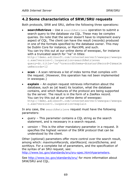# **4.2 Some characteristics of SRW/SRU requests**

Both protocols, SRW and SRU, define the following three operations:

- **searchRetrieve** Use a searchRetrieve operation to submit a search query to the database via CQL. These may be complex queries. Do note that the server doesn't have to implement every aspect of CQL. The client can have the result (records) produced in one of the formats specified by the database owner. This may be Dublin Core for instance, or MarcXML and such. You can try this out at our online demo of wwwopac, for instance with a truncated search for "na" in titles: http://demo.adlibsoft.com/internetserver3/wwwopac/wwwopa c.exe?version=1.1&operation=searchRetrieve& query=dc.title='na'\*&recordSchema=dc&startRecord=2&maxim umRecords=12
- **scan** A scan retrieves a list of index terms that complies with the request. (However, this operation has not been implemented in wwwopac.)
- **explain** An explain request retrieves information about the database, such as (at least) its location, what the database contains, and which features of the protocol are being supported by the server. The result is in the form of a ZeeRex record. You can try this out at our online demo of wwwopac: http://demo.adlibsoft.com/internetserver3/wwwopac/wwwopa c.exe?version=1.1&operation=explain

In any case, the searchRetrieve request must have the following parameters:

- *query* This parameter contains a CQL string as the search statement, and is necessary in a search request.
- *version* This is the other mandatory parameter in a request. It specifies the highest version of the SRW protocol that can be understood by the client.

Other (optional) parameters offer more control over the search result, among which: *maximumRecords, startRecord, recordSchema,* and *sortKeys*. For a complete list of parameters, and the specification of the syntax of an SRU request, see:

[http://www.loc.gov/standards/sru/sru-spec.html#parameters.](http://www.loc.gov/standards/sru/sru-spec.html#parameters)

See<http://www.loc.gov/standards/sru/> for more information about SRW/SRU and CQL.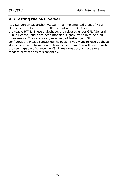# **4.3 Testing the SRU Server**

Rob Sanderson (azaroth@liv.ac.uk) has implemented a set of XSLT stylesheets that convert the XML output of any SRU server to browsable HTML. These stylesheets are released under GPL (General Public License) and have been modified slightly by Adlib to be a bit more usable. They are a very easy way of testing your SRU configuration. Please contact our helpdesk if you want to receive these stylesheets and information on how to use them. You will need a web browser capable of client-side XSL transformation; almost every modern browser has this capability.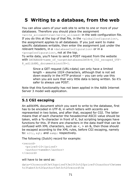# **5 Writing to a database, from the web**

You can allow users of your web site to write to one or more of your databases. Therefore you should place the assignment <write\_allowed>true</write\_allowed> in the web configuration file. If you do this at the top of that file, in the  $\langle q \rangle$  dobal Configuration  $\rangle$ , the assignment applies to all databases. If you just want to make specific databases writable, then enter the assignment just under the relevant headers, in a <databaseConfiguration> or in a <groupConfiguration>, not at the top.

To write data, you'll have to send a POST request from the website with DATABASE=name\_of\_targetdatabase&DATA=A\_CGI\_escaped\_UTF-8\_adlibXML\_document&isutf8=1.

> Since a GET request (URL+data) can only have a limited length – assume 1024 characters, although that is not set down exactly in the HTTP protocol – you can only use this when you are sure that very little data is being written. So it's safer to always use POST.

Note that this functionality has not been applied in the Adlib Internet Server 3 model web application.

# **5.1 CGI escaping**

An adlibXML document which you want to write to the database, first has to be encoded in UTF-8, in which letters with accents are represented in two bytes, and after that, escaped for CGI. The latter means that of each character the hexadecimal ASCII value should be taken, with a %-character in front of it, but scripting languages have functions for this. If there are characters in the data itself that can be confused with XML characters, such as  $\lt$ ,  $>$  en &, then those should be escaped according to the XML rules, before CGI escaping, namely to:  $k1t$ ;,  $k2t$ ; and  $k2m$ ; respectively.

The following (Dutch) record for example:

```
<record>
   <priref>10</priref>
   <author>tweeën</author>
</record>
```
#### will have to be send as:

```
data=%3crecord%3e%3cpriref%3e10%3c%2fpriref%3cauthor%3etwee
%c3%abn%3c%2fauthor%3e%3c%2frecord%3e
```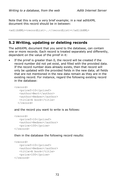Note that this is only a very brief example; in a real adlibXML document this record should be in between:

<adlibXML><recordList>..</recordList></adlibXML>

## **5.2 Writing, updating or deleting records**

The adlibXML document that you send to the database, can contain one or more records. Each record is treated separately and differently, dependent on the value of the priref in it:

If the priref is greater than 0, the record will be created if the record number did not yet exist, and filled with the provided data. If the record number does already exists, then that record will only be updated with the provided fields in the new data; all fields that are not mentioned in the new data remain as they are in the existing record. For instance, regard the following existing record in the database:

```
<record>
    <priref>10</priref>
    <author>Bert</author>
    <author>Hedzer</author>
    <title>A book</title>
   </record>
```
and the record you want to write is as follows:

```
<record>
    <priref>10</priref>
    <author>Hedzer</author>
    <price>100</price>
</record>
```
then in the database the following record results:

```
<record>
    <priref>10</priref>
    <author>Hedzer</author>
   <title>A book</title>
    <price>100</price>
</record>
```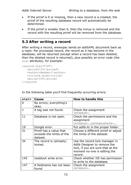- If the priref is 0 or missing, then a new record is a created; the priref of the resulting database record will automatically be determined.
- If the priref is smaller than 0, then the minus is removed and the record with the resulting priref will be removed from the database.

# **5.3 After writing a record**

After writing a record, wwwopac sends an adlibXML document back as a reply. Per processed record, the record as it has become in the database, will be returned (except when a record has been deleted, then the deleted record is returned), plus possibly an error code (the stat attribute), for example:

```
<record stat="34">
    <priref>10</priref>
    <author>Hedzer</author>
    <title>A book</title>
    <price>100</price>
</record>
```

| stat= | Cause                                                            | <b>How to handle this</b>                                                                                                                      |
|-------|------------------------------------------------------------------|------------------------------------------------------------------------------------------------------------------------------------------------|
| 0     | No errors; everything's<br>okay.                                 |                                                                                                                                                |
| 1     | A tag was not found.                                             | Check the assignment<br>DATARASE=                                                                                                              |
| 11    | Database is not open.                                            | Check the permissions and the<br>assignment<br>DATABASE=&DATABASEPATH=                                                                         |
| 19    | Dongle error.                                                    | Put <i>adlib.lic</i> in the proper folder.                                                                                                     |
| 31    | Priref has a value that<br>exceeds the limits of the<br>dataset. | Choose a different priref or adjust<br>the limits of the dataset.                                                                              |
| 34    | The record is (already)<br>locked.                               | Use the record lock manager in<br>Adlib Designer to remove the<br>lock, if you are sure that at the<br>moment no-one is editing the<br>record. |
| 145   | Useblock write error.                                            | Check whether IIS has permission<br>to write to the database.                                                                                  |
| 147   | A fieldname has not been<br>found.                               | Check the assignment<br>DATABASE=                                                                                                              |

In the following table you'll find frequently occurring errors: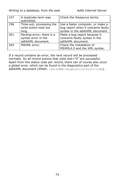| 157 | A duplicate term was<br>submitted.                                     | Check the thesaurus terms.                                                                                 |
|-----|------------------------------------------------------------------------|------------------------------------------------------------------------------------------------------------|
| 196 | Time-out; processing the<br>write action took too<br>long.             | Use a faster computer, or make a<br>bug report when it concerns faulty<br>syntax in the adlibXML document. |
| 301 | Parsing-error; there is a<br>syntax error in the<br>adlibXML document. | Make a bug report because it<br>concerns faulty syntax in the<br>adlibXML document.                        |
| 303 | MSXML error.                                                           | Check the installation of<br>MSXML4.0 and the XML syntax.                                                  |

If a record contains an error, the next record will be processed normally. So all record actions that yield *stat="0"* are successful. Apart from this status code per record, there can of course also occur a global error, which can be found in the diagnostics part of the adlibXML document (XPath: /adlibXML/diagnostics/error/code).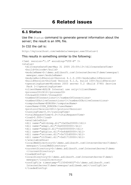# **6 Related issues**

# **6.1 Status**

Use the Status command to generate general information about the server; the result is an XML file.

### In CGI the call is:

http://mylocalhost.com/webdata/wwwopac.exe?Status=1

#### This results in something similar to the following:

```
<?xml version="1.0" encoding="UTF-8" ?> 
<status>
   <dllCreateDateTime>May 31 2005 20:59:13</dllCreateDateTime> 
   <build>Unicode</build> 
   <moduleName>D:\demo.adlibsoft.com\InternetServer3\demo\wwwopac\
   wwwopac.exe</moduleName> 
   <moduleBuildVersion>Version 6.1.0.100</moduleBuildVersion> 
   <buildVersion>Unified Version 6.1.0, build 100</buildVersion> 
   <operatingSystem>Windows 2003 server 5.2 (Build 3790) Service 
   Pack 1</operatingSystem>
   <clientName>ADLIB Internal use only</clientName> 
   <processID>2412</processID> 
   <threadID>3444</threadID> 
   <numberOfConnections>1</numberOfConnections> 
   <numberOfActiveConnections>1</numberOfActiveConnections> 
   <computerName>EUROPA</computerName> 
   <userName>IUSR_EUROPA</userName> 
   <protocolVersion>601</protocolVersion> 
   <runningTime>0.0</runningTime> 
   <totalRequestTime>0.0</totalRequestTime> 
   <load>0.000</load> 
   <availableDLLs>
   <dll name="adlibimg.dll">0x00e20000</dll> 
   <dll name="adapl.dll">0x00000000</dll> 
   <dll name="adaplU.dll">0x00000000</dll> 
   <dll name="gdiplus.dll">0x4dd60000</dll> 
   <dll name="unicows.dll">0x7f2d0000</dll> 
   <dll name="rtf2xml.dll">0x01710000</dll> 
   </availableDLLs>
   <localWebDirectory>D:\demo.adlibsoft.com\InternetServer3\demo\
   wwwopac</localWebDirectory> 
   <currentDirectory>D:\demo.adlibsoft.com\InternetServer3\demo
    </currentDirectory> 
   <loadedConfig>
   <localDirectory>D:\demo.adlibsoft.com\InternetServer3\demo\
   wwwopac</localDirectory> 
   <configFile timestamp="1150404402">D:\demo.adlibsoft.com\
    InternetServer3\demo\wwwopac\adlibweb.xml</configFile> 
   </loadedConfig>
```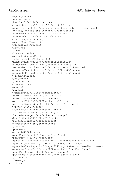```
 <connections>
   <connection>
   <handle>0x00d14008</handle> 
   <remoteAddress>10.1.1.155</remoteAddress> 
   <queryString>http://demo.adlibsoft.com:80/internetserver3/
   wwwopac/wwwopac.exe?Status=1</queryString> 
   <numberOfRequests>0</numberOfRequests> 
   <numberOfErrors>0</numberOfErrors> 
  <running>yes</running>
   <myself>yes</myself> 
   <global>yes</global> 
   <lockInfo>
   <locks /> 
   <lockStatistics>
   <maxWait>0</maxWait> 
   <totalWaits>0</totalWaits> 
   <numberOfLockCalls>0</numberOfLockCalls> 
   <numberOfUnlockCalls>0</numberOfUnlockCalls> 
   <maxNumberOfTicksLocked>0</maxNumberOfTicksLocked> 
   <numberOfLengthErrors>0</numberOfLengthErrors> 
   <numberOfUnlockErrors>0</numberOfUnlockErrors> 
   </lockStatistics>
   </lockInfo>
   </connection>
   </connections>
   <memory>
   <system>
   <commitTotal>271056</commitTotal> 
  <commitLimit>3057116</commitLimit>
   <commitPeak>307660</commitPeak> 
   <physicalTotal>1048008</physicalTotal> 
   <physicalAvailable>584360</physicalAvailable> 
   <cache>796300</cache> 
   <kernelTotal>125340</kernelTotal> 
   <kernelPaged>97192</kernelPaged> 
   <kernelNonPaged>28148</kernelNonPaged> 
   <handleCount>9796</handleCount> 
   <processCount>32</processCount> 
   <threadCount>469</threadCount> 
   </system>
   <process>
   <work>7675904</work> 
   <pageFaultCount>2111</pageFaultCount> 
   <peakWork>7712768</peakWork> 
   <quotaPeakPagedPoolUsage>37500</quotaPeakPagedPoolUsage> 
   <quotaPagedPoolUsage>37400</quotaPagedPoolUsage> 
   <quotaPeakNonPagedPoolUsage>7040</quotaPeakNonPagedPoolUsage> 
   <quotaNonPagedPoolUsage>5832</quotaNonPagedPoolUsage> 
   <pageFileUsage>4255744</pageFileUsage> 
   <peakPageFileUsage>4362240</peakPageFileUsage> 
   </process>
   </memory>
</status>
```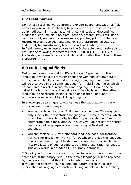# **6.2 Field names**

Do not use reserved words (from the expert search language) as field names in your Adlib databases, to prevent errors. These words are: adapl, adlibce, all, nd, as, ascending, contains, date, descending, diagnostic, end, equals, flat, from, generic, greater, key, limit, nand, narrower, not, numeric, occurrences, or, pointer, print, profile, raw, record, related, resolved, set, smaller, sort, startfrom, structured, style, text, to, transformed, tree, unstructured, when, xml. In field names, never use spaces or the & character. And preferably do not use the following characters either: **" ' @ = [ ] { } < > / ^** Preferably, only use letters and digits, and possibly the following three characters: **- \_ .**

# **6.3 Multi-lingual fields**

Fields can be multi-lingual in different ways. Dependent on the language in which a visitor/user opens the web application, data is always automatically searched in the right language and found records will be displayed in the same language; for multi-lingual fields which do not contain a value in the relevant language, but do in the socalled invariant language, the value *can*\* be displayed in the latter language in the record. Inside such an application, language preference is usually set by clicking a flag icon.

In a wwwopac search query, you can use the LANGUAGE= $\langle x \rangle$  parameter in two different ways:

- You can replace  $\langle x \rangle$  by an Adlib language number. This way you only specify the presentation language of retrieved records, which is required to be able to display the proper translation of an enumerative field for example. This way you do not set the search language: all languages of each multi-lingual field will be searched.
- You can replace  $\langle x \rangle$  by a standard language code, for instance [en-GB] for English or [nl-NL] for Dutch, to provide the language in which all multi-lingual fields must be searched. For Adlib, the first two letters of such a code specify the presentation language. This only works in an Adlib SQL or Oracle database.

\* Only if you include INVARIANT=true in the search query, then in the search result the empty field (in the active language) will be replaced by the contents of that field in the invariant language. If you do not specify a search language parameter in the search query, then all languages of each multi-lingual field will be searched,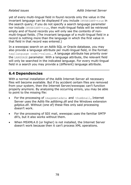yet of every multi-lingual field in found records only the value in the invariant language can be displayed if you include INVARIANT=true in the search query; if you do not specify a search language parameter nor include INVARIANT=true, then multi-lingual fields will be retrieved empty and of found records you will only see the contents of nonmulti-lingual fields. (The invariant language of a multi-lingual field in a record is nothing more than the language in which the first value in that field in that record was entered.)

In a wwwopac search on an Adlib SQL or Oracle database, you may also provide a language attribute per multi-lingual field, in the format: tag[language code]=value&…. A language attribute has priority over the LANGUAGE parameter. With a language attribute, the relevant field will only be searched in the indicated language. For every multi-lingual field in a search you may provide a (different) language attribute.

# **6.4 Dependencies**

With a normal installation of the Adlib Internet Server all necessary files will become available. But if by accident certain files are removed from your system, then the Internet Server/wwwopac can't function properly anymore. By analysing the occurring errors, you may be able to point to the missing file:

- For the processing of imagemetadata and thumbnail, Internet Server uses the Adlib file *adlibimg.dll* and the Windows extension *gdiplus.dll*. Without (one of) these files only said processing doesn't work.
- For the processing of SDI mail, wwwopac uses the familiar SMTP dll's, but it also works without them.
- When MSXML4.0 (or higher) is not installed, the Internet Server doesn't work because then it can't process XML operations.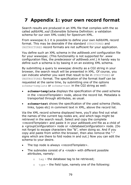# **7 Appendix 1: your own record format**

Search results are produced in an XML file that complies with the so called *adlibXML.xsd* (Extensible Schema Definition: a validation schema for our own XML-code) for Spectrum-XML.

From wwwopac 6.1 it is possible to define your own AdlibXML record format. This may be desirable if the standard STRUCTURED and UNSTRUCTURED record formats are not sufficient for your application.

You define such an XML schema in the *adlibweb.xml* configuration file for your wwwopac. (This functionality is not supported for .*www* configuration files, the predecessor of *adlibweb.xml*.) A handy way to define such a schema is by basing it on an existing XML schema.

By submitting a query to wwwopac directly as a CGI string in your browser, the search result will be presented in XML. Of course, you can indicate whether you want that result to be in STRUCTURED or UNSTRUCTURED format. The specification of the format itself can be requested at the same time, by submitting one of the options schema=template or schema=text in the CGI string as well:

- **schema=template** displays the specification of the used schema in the *<recordTemplate>* node, above the record list. Metadata is transported through attributes, as usual.
- schema=text shows the specification of the used schema (fields, links, types etc) in comment text in XML, above the record list.

Via the XML record schema displayed here, you'll also find out what the names of the current tag nodes are, and which tags might be retrieved in the search result. Select and copy the complete *<recordTemplate>* and paste it in your *adlibweb.xml* file as a child of a *<groupConfiguration>* node or *<databaseConfiguration>* node. (Do not forget to escape characters like "&", when doing so. And if you copy and paste from within the browser, then also remove the "-" signs which are there to fold nodes in and out.) Now you can edit the schema to your desire.

- The top node is always *<recordTemplate>*.
- The subnodes consist of a <*node*> with different possible attributes, namely:
	- $\circ$  tag the database tag to be retrieved;
	- $\circ$  type the field type, namely one of the following: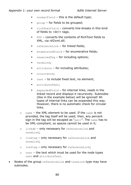#### *Appendix 1: your own record format Adlib Internet Server*

- normalField this is the default type;
- **•** group for fields to be grouped;
- richTextField converts line-breaks in this kind of fields to <br/>br/>
tags:
- RTF converts the contents of RichText fields to XML, via *rtf2xml.dll*;
- **•** referenceLink for linked fields;
- enumeratedField for enumerative fields;
- **•** reservedTag for including options;
- termLink;
- attribute for including attributes;
- occurrence:
- $\bullet$  text to include fixed text, no element;
- attributeText;
- expandedField for internal links, reads in the linked record and displays it recursively. Subnodes (like in the example below) will be ignored! All types of internal links can be expanded this way. However, there is no automatic check for circular links.
- o name the XML element to be used. If the name is not provided, the tag itself will be used; then, any percent sign in the tag will be escaped as "perc". The name has to be XML-compliant, so spaces cannot be used in it;
- o linkdb only necessary for referenceLink and termLink;
- o linktag only necessary for referenceLink and termLink;
- o lreftag only necessary for referenceLink;
- o text the text which must be used for the node types text and attributeText.
- Nodes of the group referenceLink and termLink type may have subnodes.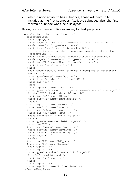• When a node attribute has subnodes, those will have to be included as the first subnodes. Attribute subnodes after the first "normal" subnode won't be displayed!

Below, you can see a fictive example, for test purposes:

```
<groupConfiguration group="template">
   <recordTemplate>
   <node tag="QQ">
     <node type="attributeText" name="staticAttr" text="xxx"/>
     <node name="occ" type="occurrence"/>
     <node type="text" text="drieën < 10"/>
     <!-- this text is not shown, see last remark in the syntax 
     description -->
     <node type="attributeText" name="notshown" text="yyy"/>
    <node tag="QQ" name="QQattr" type="attribute"/> 
    <node tag="WW" name="WWattr" type="attribute"/> 
    <node type="text" text="end"/>
    </node> 
    <node type="expandedField" tag="bt" name="part_of_reference" 
    termtag="IN">
   <node type="group" name="mygroup">
    <node type="richTextField" tag="WW" /> 
    <node tag="GG" /> 
    </node>
    <node tag="%0" name="priref" /> 
    <node type="referenceLink" tag="AA" name="thename" lreftag="l1" 
    linktag="BB" linkdb="d:\mydbA+yourdb">
    <node tag="AA" name="Oliver" /> 
    <node tag="D1" name="mergedfield" /> 
   </node>
    <node tag="AI" name="autoinc" /> 
    <node tag="DD" name="date" /> 
   <node type="element" name="extra">
    <node tag="DD" name="date" /> 
    <node type="text" name="fixed text"> 
    </node>
    <node type="enumeratedField" tag="EE" /> 
    <node tag="FF" /> 
    <node type="group" name="yourgroup">
    <node tag="H1" name="Heylang1" /> 
    <node tag="H2" name="Heylang2" /> 
    <node tag="H3" /> 
   </node>
   <node tag="ID" name="ISO_date" /> 
    <node tag="II" name="Integer" /> 
    <node tag="IS" /> 
   <node tag="LL" /> 
   <node type="termLink" tag="TI" linktag="ti" 
    linkdb="d:\mydbA+yourdb">
    <node tag="ss" name="tt" /> 
   </node>
   <node tag="TT" /> 
   <node tag="l1" name="linkref_info" /> 
  </recordTemplate>
```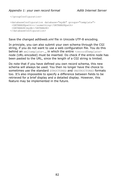```
</groupConfiguration>
<databaseConfiguration database="mydb" groups="template">
 <DATABASEpath>c:\something</DATABASEpath>
 <DATABASE>mydb</DATABASE>
</databaseConfiguration>
```
Save the changed *adlibweb.xml* file in Unicode UTF-8 encoding.

In principle, you can also submit your own schema through the CGI string, if you do not want to use a web configuration file. You do this behind an xmltemplate=..., in which the entire <recordTemplate> node (URL-encoded) must be inserted. Do check if the entire node has been pasted to the URL, since the length of a CGI string is limited.

Do note that if you have defined you own record schema, this new schema will always be used. You then no longer have the choice to sometimes use the standard STRUCTURED and UNSTRUCTURED formats too. It's also impossible to specify a difference between fields to be retrieved for a brief display and a detailed display. However, this feature may be implemented in the future.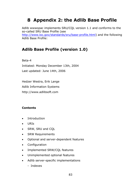# **8 Appendix 2: the Adlib Base Profile**

Adlib wwwopac implements SRU/CQL version 1.1 and conforms to the so-called SRU Base Profile (see [http://www.loc.gov/standards/sru/base-profile.html\)](http://www.loc.gov/standards/sru/base-profile.html) and the following Adlib Base Profile:

# **Adlib Base Profile (version 1.0)**

Beta-4

Initiated: Monday December 13th, 2004 Last updated: June 14th, 2006

Hedzer Westra, Erik Lange Adlib Information Systems http://www.adlibsoft.com

#### **Contents**

- Introduction
- URIs
- SRW, SRU and CQL
- SRW Requirements
- Optional and server-dependent features
- Configuration
- Implemented SRW/CQL features
- Unimplemented optional features
- Adlib server-specific implementations
	- Indexes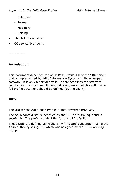- Relations
- Terms
- Modifiers
- Sorting
- The Adlib Context set
- CQL to Adlib bridging

-------------

### **Introduction**

This document describes the Adlib Base Profile 1.0 of the SRU server that is implemented by Adlib Information Systems in its wwwopac software. It is only a partial profile: it only describes the software capabilities. For each installation and configuration of this software a full profile document should be defined (by the client).

## **URIs**

The URI for the Adlib Base Profile is "info:srw/profile/6/1.0".

The Adlib context set is identified by the URI "info:srw/cql-contextset/6/1.0". The preferred identifier for this URI is 'adlib'.

These URIs are defined using the SRW 'info URI' convention, using the Adlib authority string "6", which was assigned by the ZING working group.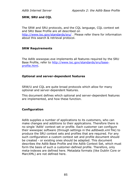#### **SRW, SRU and CQL**

The SRW and SRU protocols, and the CQL language, CQL context set and SRU Base Profile are all described on <http://www.loc.gov/standards/sru/> . Please refer there for information about this search & retrieval protocol.

#### **SRW Requirements**

The Adlib wwwopac.exe implements all features required by the SRU Base Profile, refer to [http://www.loc.gov/standards/sru/base](http://www.loc.gov/standards/sru/base-profile.html)[profile.html.](http://www.loc.gov/standards/sru/base-profile.html)

#### **Optional and server-dependent features**

SRW/U and CQL are quite broad protocols which allow for many optional and server-dependent features.

This document defines which optional and server-dependent features are implemented, and how these function.

#### **Configuration**

Adlib supplies a number of applications to its customers, who can make changes and additions to their applications. Therefore there is no single 'Adlib' context set or profile. Each customer can configure their wwwopac software (through settings in the *adlibweb.xml* file) to produce the SRU context sets and profiles that are required. For any such configuration a custom context set and profile document should be created - or existing ones should be adapted. This document describes the Adlib Base Profile and the Adlib Context Set, which must form the basis of such a customer-defined profile. Therefore, only meta-indexes are defined here. Metadata formats (like Dublin Core or MarcXML) are not defined here.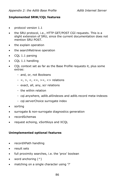#### **Implemented SRW/CQL features**

- protocol version 1.1
- the SRU protocol, i.e., HTTP GET/POST CGI requests. This is a slight extension of SRU, since the current documentation does not mention SRU POST.
- the explain operation
- the searchRetrieve operation
- CQL 1.1 parsing
- CQL 1.1 handling
- CQL context set as far as the Base Profile requests it, plus some extras:
	- and, or, not Booleans
	- $-$  =,  $>$ ,  $<$ ,  $<$  =,  $>$  =,  $<$  relations
	- exact, all, any, scr relations
	- the within relation
	- cql.anywhere, adlib.allIndexes and adlib.record meta-indexes
	- cql.serverChoice surrogate index
- sorting
- surrogate & non-surrogate diagnostics generation
- recordSchemas
- request echoing, xSortKeys and XCQL

#### **Unimplemented optional features**

- recordXPath handling
- result sets
- full proximity searches, i.e. the 'prox' boolean
- word anchoring  $(^{\wedge})$
- matching on a single character using '?'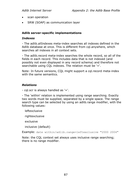- scan operation
- SRW (SOAP) as communication layer

#### **Adlib server-specific implementations**

#### *Indexes*

- The adlib.allIndexes meta-index searches all indexes defined in the Adlib database at once. This is different from cql.anywhere, which searches all indexes in all context sets.

- The adlib.record meta-index searches the whole record, so all of the fields in each record. This includes data that is not indexed (and possibly not even displayed in any record schema) and therefore not searchable using CQL indexes. The relation must be '='.

Note: In future versions, COL might support a cgl.record meta-index with the same semantics.

#### *Relations*

- cql.scr is always handled as '='.

- The 'within' relation is implemented using range searching. Exactly two words must be supplied, separated by a single space. The range search type can be selected by using an adlib.range modifier, with the following values:

leftexclusive

rightexclusive

exclusive

inclusive (default)

Example: date within/adlib.range=leftexclusive "2000 2004"

Note: the CQL context set always uses inclusive range searching; there is no range modifier.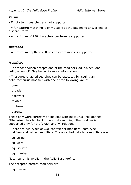#### *Terms*

- Empty term searches are not supported.

- \* for pattern matching is only usable at the beginning and/or end of a search term.

- A maximum of 250 characters per term is supported.

#### *Booleans*

- A maximum depth of 250 nested expressions is supported.

#### *Modifiers*

- The 'and' boolean accepts one of the modifiers 'adlib.when' and 'adlib.whennot'. See below for more information.

- Thesaurus-enabled searches can be executed by issuing an adlib.thesaurus modifier with one of the following values:

generic

broader

narrower

related

topterm

parents

These only work correctly on indexes with thesaurus links defined. Otherwise, they fall back on normal searching. The modifier is supported only for the 'exact' and '=' relations.

- There are two types of CQL context set modifiers: data type modifiers and pattern modifiers. The accepted data type modifiers are:

cql.string

cql.word

cql.isoDate

cql.number

Note: cql.uri is invalid in the Adlib Base Profile.

The accepted pattern modifiers are:

cql.masked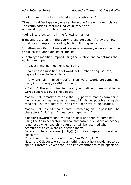cql.unmasked (not yet defined in CQL context set)

Of each modifier type only one can be active for each search clause. The combinations /cql.masked/cql.number and /cql.masked/cql.isoDate are invalid.

- Adlib interprets terms in the following manner:

If modifiers are sent in the query, those are used. If they are not, modifiers are implied according to the following rules:

1. pattern modifer: cql.masked is always assumed, unless cql.number or cql.isoDate are supplied or implied.

2. data type modifier, implied using the relation and sometimes the Adlib index type:

- 'exact': implied modifier is cql.string.

- '=': implied modifier is cql.word, cql.number or cql.isoDate, depending on the index type.

- 'any' and 'all': implied modifier is cql.word. Words are combined using OR (for 'any') or AND (for 'all').

- 'within': there is no implied data type modifier; there must be two words separated by a single space

Modifier cql.unmasked means: the CQL pattern match character \* has no special meaning; pattern matching is not possible using this modifier. The characters  $\wedge$ , ? and  $*$  do not have to be escaped.

Modifier cql.masked means: pattern matching on \* is possible. The characters  $\wedge$ , ?,  $*$  and \ must be escaped with \.

Modifier cql.word means: words are split and then re-combined using the Adlib separators and concatenators rule. Word adjacency is not used when searching. An error will be returned when searching with cql.word on a string index.

Separator characters are: [];,!@()|{}<>? carriagereturn newline space tab

Concatenator characters are:  $\div = \frac{1}{2}$  /~#\$%^& +:"'\*

Note: the CQL context set says nothing about how words are to be split but instead leaves that up to implementations to be specified.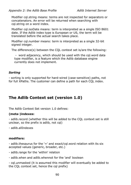Modifier cql.string means: terms are not inspected for separators or concatenators. An error will be returned when searching with cql.string on a word index.

Modifier cql.isoDate means: term is interpreted as a single ISO 8601 date. If the Adlib index type is European or US, the term will be translated before the actual search takes place.

Modifier cql.number means: term is interpreted as a single 32-bit signed integer.

The difference(s) between the CQL context set is/are the following:

- word adjacency, which should be used with the cql.word data type modifier, is a feature which the Adlib database engine currently does not implement.

#### *Sorting*

- sorting is only supported for hard-wired (case-sensitive) paths, not for full XPaths. The customer can define a path for each CQL index.

# **The Adlib Context set (version 1.0)**

The Adlib Context Set version 1.0 defines:

### **(meta-)indexes:**

- adlib.record (whether this will be added to the CQL context set is still unclear, so the prefix is adlib, not cql)

- adlib.allIndexes

### **modifiers:**

- adlib.thesaurus for the '=' and exact/cql.word relation with its six accepted values (generic, broader, etc.)

- adlib.range for the 'within' relation
- adlib.when and adlib.whennot for the 'and' boolean

- cql.unmasked (it is assumed this modifier will eventually be added to the CQL context set, hence the cql prefix)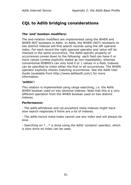# **CQL to Adlib bridging considerations**

#### *The 'and' boolean modifiers:*

The and-relation modifiers are implemented using the WHEN and WHEN NOT booleans in Adlib. In Adlib, the WHEN (NOT) booleans on two distinct indexes will first search records using the left operand index. For each record the right operand operator and value will be checked in the same occurrence. The Adlib-specific property of occurrences comes down to the following: each field can have 0 or more values (unless explicitly stated as non-repeatable), whereas conventional RDBMS's can only hold 0 or 1 values in a field. Indexes can be specified to index either the first or all occurrences. The WHEN operator explicitly checks matching occurrences. See the Adlib User Guide (available from http://www.adlibsoft.com/) for more information.

#### *'within':*

This relation is implemented using range searching, i.e. the Adlib WHEN boolean used on two identical indexes. Note that this is a very different operation from the WHEN boolean used on two distinct indexes.

#### *Performance:*

- The adlib.allIndexes and cql.anywhere meta-indexes might have slow search responses if there are a lot of indexes.

- The adlib.record meta-index cannot use any index and will always be slow.

- Searching on \*...\* is done using the Adlib 'contains' operator, which is slow since no index can be used.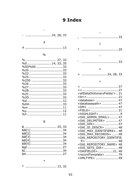# 9 Index

 $\overline{a}$ 

#### $\frac{0}{0}$

| $%0$ 14, 33, 35  |
|------------------|
| %0D%0A 33        |
|                  |
|                  |
|                  |
|                  |
|                  |
|                  |
|                  |
|                  |
|                  |
|                  |
|                  |
|                  |
|                  |
| $0/6$ Y and $11$ |

#### $\&$

| 8.  25, 33 |  |
|------------|--|
|            |  |
|            |  |
|            |  |
|            |  |
|            |  |
|            |  |
|            |  |
|            |  |
|            |  |

 $\cdots$  13, 32  $\ast$ 

| $+$ |
|-----|
|     |

 $\mathbf{r}$ 

#### $\,<$

| <alldatadictionaryfields></alldatadictionaryfields> 21 |
|--------------------------------------------------------|
|                                                        |
| <database>  47</database>                              |
| <databasepath>  47</databasepath>                      |
| <dm>  47</dm>                                          |
| <field>  21</field>                                    |
| <highlight> 9</highlight>                              |
| <oai admin="" email="">  47</oai>                      |
| <oai delimiter="">  47</oai>                           |
| <0AI DIR> 47                                           |
| <0AI ID DESCR>  48                                     |
| <oai identifiers="" max="">48</oai>                    |
| <oai max="" records="">  48</oai>                      |
| <oai repository_identifie<="" td=""></oai>             |
|                                                        |
| <oai name="" repository=""> 48</oai>                   |
| <0AI SETS_DIR> 48                                      |
| <0AIFIELDS>21,48                                       |
| <recordtemplate>  79</recordtemplate>                  |
| <xmltype>  49</xmltype>                                |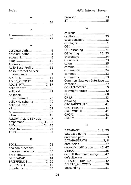### *Index Adlib Internet Server*

| > 27 |  |  |  |  |  |  |  |  |  |  |  |  |  |  |  |  |  |
|------|--|--|--|--|--|--|--|--|--|--|--|--|--|--|--|--|--|
|      |  |  |  |  |  |  |  |  |  |  |  |  |  |  |  |  |  |

#### A

| absolute path4        |  |
|-----------------------|--|
| absolute paths 4      |  |
|                       |  |
| adapl 12              |  |
| Address35             |  |
| Adlib Base Profile61  |  |
| Adlib Internet Server |  |
| commands7             |  |
| ADLIB DIRi 14         |  |
| ADLIB OUTPUT 14       |  |
| ADLIB PTR  7, 37      |  |
| adlibweb.xml 3        |  |
| adlibXML 49           |  |
| <b>IMXdilbA</b>       |  |
| customized 79         |  |
| adlibXML schema79     |  |
| adlibXML.xsd79        |  |
|                       |  |
|                       |  |
| allow18               |  |
| ALLOW ALL DBS=true 7  |  |
| ampersand 25, 33, 57  |  |
| AND 24, 25            |  |
| AND NOT24             |  |
|                       |  |

## B

| boolean functions 25 |  |
|----------------------|--|
| boolean operators35  |  |
| brackets 36          |  |
| BRIEFADAPL  14       |  |
| BRIEFFIELDS  7, 20   |  |
| BRIEFSTYLE17         |  |
| broader term 35      |  |

| browser 23 |  |  |
|------------|--|--|
|            |  |  |

#### C

| callerIP  11               |
|----------------------------|
| capitals  33               |
| case-sensitive  33         |
| catalogue 1                |
|                            |
| CGI escaping  71           |
| CGI-string  23, 33         |
| characters  24             |
| client-side  23            |
|                            |
|                            |
| commands 24                |
| commas  33                 |
| comments  13               |
| Common Gateway Interface 1 |
| contains  27               |
| CONTENT-TYPE  15           |
| copyright notice  42       |
|                            |
|                            |
| crawling  56               |
| CROPABSOLUTE  41           |
| CROPHEIGHT  41             |
| CROPWIDTH  41              |
| CROPX  41                  |
| CROPY  41                  |

#### D

| DATABASE 3, 8, 25            |
|------------------------------|
| database name 3              |
| database path3               |
| DATABASEPATH  3, 8           |
| date fields  27              |
| date-of-modification  46, 47 |
|                              |
| default thumbnail image 42   |
| default.www 4                |
| DEFAULTTHUMBNAIL  42         |
| DELETE ALLOWED  20           |
| descending 31                |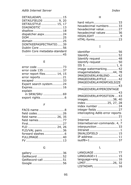| DETAILADAPL  15               |  |
|-------------------------------|--|
| DETAILFIELDS  9, 20           |  |
| DETAILSTYLE  15, 17           |  |
| DIAGNOSTIC  13                |  |
| disallow 18                   |  |
| dispatcher.aspx 24            |  |
|                               |  |
|                               |  |
| DONTKEEPASPECTRATIO39         |  |
| Dublin Core 56                |  |
| Dublin Core metadata-standard |  |
|                               |  |
|                               |  |

#### E

| error code 135 37         |
|---------------------------|
| error report files 14, 15 |
|                           |
|                           |
| Expert search system 24   |
| Expires 16                |
| explain                   |
| in SRW/SRU 69             |
|                           |

#### F

| FACS-name 8        |
|--------------------|
| field codes 26     |
| field name  26, 35 |
|                    |
|                    |
| FLD  24, 26        |
| FLD/VAL pairs  36  |
|                    |
| FULLIMAGE40        |
|                    |
|                    |

## G

| gallery  36       |  |
|-------------------|--|
| GetRecord  52     |  |
| GetRecord-call 51 |  |
|                   |  |

| hard return 33         |
|------------------------|
| hexadecimal numbers 33 |
| hexadecimal value 27   |
| hexadecimal values  36 |
|                        |
| HTML-forms 23          |
|                        |

# I

| identifier  56<br>Identify 52<br>Identify request  48<br>Identify-request 50<br>IIS 5 1, 6<br>image watermarking 42<br>imagemetadata44,78<br>IMAGEOVERLAYBLEND  42<br>IMAGEOVERLAYFILE  42 |  |
|--------------------------------------------------------------------------------------------------------------------------------------------------------------------------------------------|--|
| IMAGEOVERLAYMINPIXELSIZE                                                                                                                                                                   |  |
| IMAGEOVERLAYPERCENTAGE                                                                                                                                                                     |  |
| IMAGEOVERLAYPOSITION  43<br>images38, 40<br>index  25, 27, 28                                                                                                                              |  |
| index number  24<br>integer fields  27<br>intercepting Adlib error reports                                                                                                                 |  |
| Internet  1<br>Internetserver-commands. 4, 7<br>interpunction  33<br>Intranet  1<br>INVALIDFIELD  15                                                                                       |  |
| IP address 11<br>isutf8=1 37                                                                                                                                                               |  |

## L

| LANGUAGE  77     |  |
|------------------|--|
| LANGUAGE=1  15   |  |
| language=eng  16 |  |
| LIMIT26, 32      |  |
| LISTADAPL  16    |  |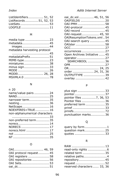| ListIdentifiers 51, 52  |  |
|-------------------------|--|
| ListRecords  51, 52, 53 |  |
|                         |  |
|                         |  |

### M

| media type 23<br>metadata45  |  |
|------------------------------|--|
|                              |  |
| metadata harvesting protocol |  |
|                              |  |
| metadataPrefix51             |  |
| MIME-type23                  |  |
| miniatures 38                |  |
| minus sign33                 |  |
| MODE 26                      |  |
| MODEI 26, 28                 |  |
| MSXML4.0 78                  |  |
|                              |  |

#### N

#### n 20

| name/value-pairs 24           |
|-------------------------------|
| NAND25                        |
| narrower term35               |
| nesting36                     |
|                               |
| NetScape 16                   |
| NOEXPIRES=TRUE16              |
| non-alphanumerical characters |
|                               |
|                               |
| non-preferred term35          |
| norecs14                      |
| NORECS  17                    |
|                               |
| norecs.html 17                |
|                               |
|                               |

### O

| OAI protocol request45 |  |
|------------------------|--|
| OAI registers 58       |  |
| OAI repositories 56    |  |
| OAI Sets53             |  |
| oai_dc51               |  |

| oai_dc.xsl…………… 46, 51, 56   |  |
|------------------------------|--|
| OAIFIELDS  20                |  |
| OAI-PMH 58                   |  |
| OAI-protocol  45             |  |
| OAI-record  45               |  |
| OAI-request 45, 50           |  |
| OAIResumptionTokens.xml54    |  |
| OAI-search query  45         |  |
| OAIster  58                  |  |
|                              |  |
| occurrences  27              |  |
| Open Archives Initiative  45 |  |
| operator 27                  |  |
| SEARCHBOOL  36               |  |
|                              |  |
| OR 24, 25                    |  |
| order  24, 31, 36            |  |
| OUTPUTTYPE  39               |  |
| overlay  42                  |  |
|                              |  |

### P

| plus sign  33           |  |
|-------------------------|--|
| pointer 37              |  |
| pointer files 7, 36, 53 |  |
| Pointer files  36       |  |
| preferred term  35      |  |
| priref  33              |  |
|                         |  |
| punctuation marks 36    |  |
|                         |  |

# Q

| query by form1   |  |
|------------------|--|
| question mark 25 |  |
| quotes  33       |  |

## R

| RAW  13                     |  |
|-----------------------------|--|
| read-only rights 6          |  |
| related term  35            |  |
| relative paths4             |  |
| repository 45               |  |
| request  52                 |  |
| reserved characters  33, 36 |  |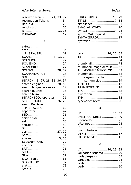#### *Adlib Internet Server Index*

| reserved words  24, 33, 77 |  |  |
|----------------------------|--|--|
| resumption Tokens 54       |  |  |
|                            |  |  |
|                            |  |  |
|                            |  |  |
| RUNADAPL 12                |  |  |
|                            |  |  |

#### S

| STRUCTURED 13, 79      |  |
|------------------------|--|
| STYLE 17, 18           |  |
| stylesheet  51         |  |
| SYNC ALLOWED  20       |  |
| syntax 24, 28          |  |
| syntax OAI-requests 52 |  |
| SYNTAXERROR 17         |  |
| syntaxes  35           |  |
|                        |  |

### $\mathsf T$

| tags 24, 26, 35             |  |
|-----------------------------|--|
|                             |  |
| term 34                     |  |
| thumbnail 78                |  |
| thumbnail image default  42 |  |
| THUMBNAILBACKCOLOR  39      |  |
| thumbnails  38              |  |
| background colour 39        |  |
| maximum size  39            |  |
| TIMEOUT 12                  |  |
| TRANSFORMED  18             |  |
|                             |  |
| truncation  32              |  |
|                             |  |
| type="richText"  20         |  |
|                             |  |

## U

| UF13, 35            |  |
|---------------------|--|
| UNSTRUCTURED 12, 79 |  |
| urlencoded  23      |  |
| URL-input 23        |  |
| US13, 35            |  |
| user interface  1   |  |
| UTF-8  37           |  |
| UTF-8 header 17     |  |

#### V

| VAL  24, 28, 32       |  |
|-----------------------|--|
| validation schema  79 |  |
| variable-pairs  35    |  |
| variables  24         |  |
| verb  52              |  |
| verb  50              |  |